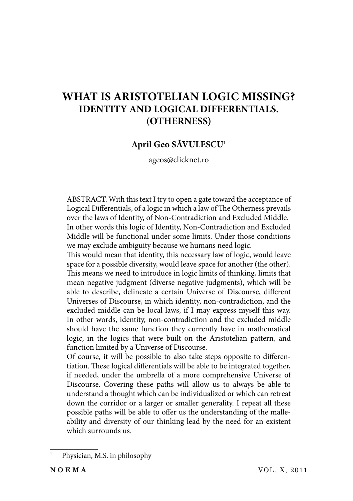# **WHAT IS ARISTOTELIAN LOGIC MISSING? IDENTITY AND LOGICAL DIFFERENTIALS. (OTHERNESS)**

# **April Geo SĂVULESCU1**

ageos@clicknet.ro

ABSTRACT. With this text I try to open a gate toward the acceptance of Logical Differentials, of a logic in which a law of The Otherness prevails over the laws of Identity, of Non-Contradiction and Excluded Middle. In other words this logic of Identity, Non-Contradiction and Excluded Middle will be functional under some limits. Under those conditions we may exclude ambiguity because we humans need logic.

This would mean that identity, this necessary law of logic, would leave space for a possible diversity, would leave space for another (the other). This means we need to introduce in logic limits of thinking, limits that mean negative judgment (diverse negative judgments), which will be able to describe, delineate a certain Universe of Discourse, different Universes of Discourse, in which identity, non-contradiction, and the excluded middle can be local laws, if I may express myself this way. In other words, identity, non-contradiction and the excluded middle should have the same function they currently have in mathematical logic, in the logics that were built on the Aristotelian pattern, and function limited by a Universe of Discourse.

Of course, it will be possible to also take steps opposite to differentiation. These logical differentials will be able to be integrated together, if needed, under the umbrella of a more comprehensive Universe of Discourse. Covering these paths will allow us to always be able to understand a thought which can be individualized or which can retreat down the corridor or a larger or smaller generality. I repeat all these possible paths will be able to offer us the understanding of the malleability and diversity of our thinking lead by the need for an existent which surrounds us.

<sup>1</sup> Physician, M.S. in philosophy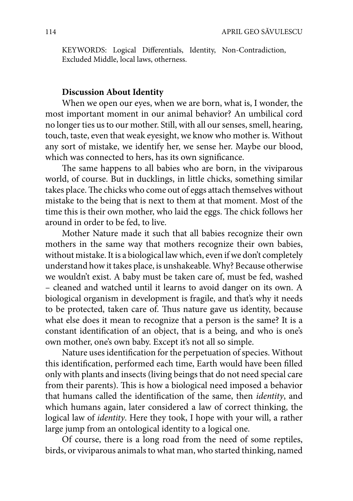KEYWORDS: Logical Differentials, Identity, Non-Contradiction, Excluded Middle, local laws, otherness.

# **Discussion About Identity**

When we open our eyes, when we are born, what is, I wonder, the most important moment in our animal behavior? An umbilical cord no longer ties us to our mother. Still, with all our senses, smell, hearing, touch, taste, even that weak eyesight, we know who mother is. Without any sort of mistake, we identify her, we sense her. Maybe our blood, which was connected to hers, has its own significance.

The same happens to all babies who are born, in the viviparous world, of course. But in ducklings, in little chicks, something similar takes place. The chicks who come out of eggs attach themselves without mistake to the being that is next to them at that moment. Most of the time this is their own mother, who laid the eggs. The chick follows her around in order to be fed, to live.

Mother Nature made it such that all babies recognize their own mothers in the same way that mothers recognize their own babies, without mistake. It is a biological law which, even if we don't completely understand how it takes place, is unshakeable. Why? Because otherwise we wouldn't exist. A baby must be taken care of, must be fed, washed – cleaned and watched until it learns to avoid danger on its own. A biological organism in development is fragile, and that's why it needs to be protected, taken care of. Thus nature gave us identity, because what else does it mean to recognize that a person is the same? It is a constant identification of an object, that is a being, and who is one's own mother, one's own baby. Except it's not all so simple.

Nature uses identification for the perpetuation of species. Without this identification, performed each time, Earth would have been filled only with plants and insects (living beings that do not need special care from their parents). This is how a biological need imposed a behavior that humans called the identification of the same, then *identity*, and which humans again, later considered a law of correct thinking, the logical law of *identity*. Here they took, I hope with your will, a rather large jump from an ontological identity to a logical one.

Of course, there is a long road from the need of some reptiles, birds, or viviparous animals to what man, who started thinking, named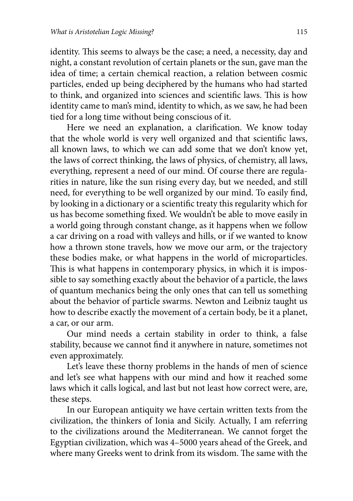identity. This seems to always be the case; a need, a necessity, day and night, a constant revolution of certain planets or the sun, gave man the idea of time; a certain chemical reaction, a relation between cosmic particles, ended up being deciphered by the humans who had started to think, and organized into sciences and scientific laws. This is how identity came to man's mind, identity to which, as we saw, he had been tied for a long time without being conscious of it.

Here we need an explanation, a clarification. We know today that the whole world is very well organized and that scientific laws, all known laws, to which we can add some that we don't know yet, the laws of correct thinking, the laws of physics, of chemistry, all laws, everything, represent a need of our mind. Of course there are regularities in nature, like the sun rising every day, but we needed, and still need, for everything to be well organized by our mind. To easily find, by looking in a dictionary or a scientific treaty this regularity which for us has become something fixed. We wouldn't be able to move easily in a world going through constant change, as it happens when we follow a car driving on a road with valleys and hills, or if we wanted to know how a thrown stone travels, how we move our arm, or the trajectory these bodies make, or what happens in the world of microparticles. This is what happens in contemporary physics, in which it is impossible to say something exactly about the behavior of a particle, the laws of quantum mechanics being the only ones that can tell us something about the behavior of particle swarms. Newton and Leibniz taught us how to describe exactly the movement of a certain body, be it a planet, a car, or our arm.

Our mind needs a certain stability in order to think, a false stability, because we cannot find it anywhere in nature, sometimes not even approximately.

Let's leave these thorny problems in the hands of men of science and let's see what happens with our mind and how it reached some laws which it calls logical, and last but not least how correct were, are, these steps.

In our European antiquity we have certain written texts from the civilization, the thinkers of Ionia and Sicily. Actually, I am referring to the civilizations around the Mediterranean. We cannot forget the Egyptian civilization, which was 4–5000 years ahead of the Greek, and where many Greeks went to drink from its wisdom. The same with the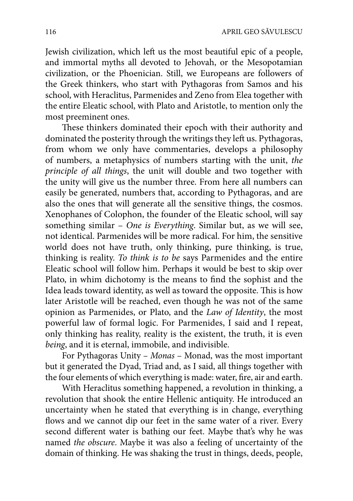Jewish civilization, which left us the most beautiful epic of a people, and immortal myths all devoted to Jehovah, or the Mesopotamian civilization, or the Phoenician. Still, we Europeans are followers of the Greek thinkers, who start with Pythagoras from Samos and his school, with Heraclitus, Parmenides and Zeno from Elea together with the entire Eleatic school, with Plato and Aristotle, to mention only the most preeminent ones.

These thinkers dominated their epoch with their authority and dominated the posterity through the writings they left us. Pythagoras, from whom we only have commentaries, develops a philosophy of numbers, a metaphysics of numbers starting with the unit, *the principle of all things*, the unit will double and two together with the unity will give us the number three. From here all numbers can easily be generated, numbers that, according to Pythagoras, and are also the ones that will generate all the sensitive things, the cosmos. Xenophanes of Colophon, the founder of the Eleatic school, will say something similar – *One is Everything*. Similar but, as we will see, not identical. Parmenides will be more radical. For him, the sensitive world does not have truth, only thinking, pure thinking, is true, thinking is reality. *To think is to be* says Parmenides and the entire Eleatic school will follow him. Perhaps it would be best to skip over Plato, in whim dichotomy is the means to find the sophist and the Idea leads toward identity, as well as toward the opposite. This is how later Aristotle will be reached, even though he was not of the same opinion as Parmenides, or Plato, and the *Law of Identity*, the most powerful law of formal logic. For Parmenides, I said and I repeat, only thinking has reality, reality is the existent, the truth, it is even *being*, and it is eternal, immobile, and indivisible.

For Pythagoras Unity – *Monas* – Monad, was the most important but it generated the Dyad, Triad and, as I said, all things together with the four elements of which everything is made: water, fire, air and earth.

With Heraclitus something happened, a revolution in thinking, a revolution that shook the entire Hellenic antiquity. He introduced an uncertainty when he stated that everything is in change, everything flows and we cannot dip our feet in the same water of a river. Every second different water is bathing our feet. Maybe that's why he was named *the obscure*. Maybe it was also a feeling of uncertainty of the domain of thinking. He was shaking the trust in things, deeds, people,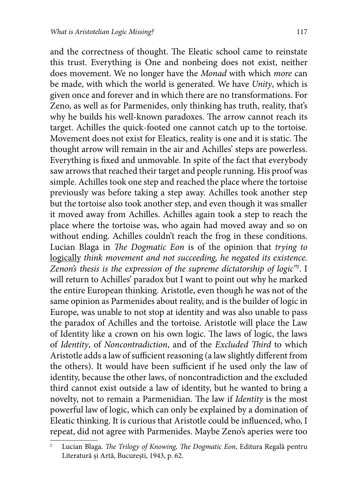and the correctness of thought. The Eleatic school came to reinstate this trust. Everything is One and nonbeing does not exist, neither does movement. We no longer have the *Monad* with which *more* can be made, with which the world is generated. We have *Unity*, which is given once and forever and in which there are no transformations. For Zeno, as well as for Parmenides, only thinking has truth, reality, that's why he builds his well-known paradoxes. The arrow cannot reach its target. Achilles the quick-footed one cannot catch up to the tortoise. Movement does not exist for Eleatics, reality is one and it is static. The thought arrow will remain in the air and Achilles' steps are powerless. Everything is fixed and unmovable. In spite of the fact that everybody saw arrows that reached their target and people running. His proof was simple. Achilles took one step and reached the place where the tortoise previously was before taking a step away. Achilles took another step but the tortoise also took another step, and even though it was smaller it moved away from Achilles. Achilles again took a step to reach the place where the tortoise was, who again had moved away and so on without ending. Achilles couldn't reach the frog in these conditions. Lucian Blaga in *The Dogmatic Eon* is of the opinion that *trying to* logically *think movement and not succeeding, he negated its existence. Zenon's thesis is the expression of the supreme dictatorship of logic"*<sup>2</sup> . I will return to Achilles' paradox but I want to point out why he marked the entire European thinking. Aristotle, even though he was not of the same opinion as Parmenides about reality, and is the builder of logic in Europe, was unable to not stop at identity and was also unable to pass the paradox of Achilles and the tortoise. Aristotle will place the Law of Identity like a crown on his own logic. The laws of logic, the laws of *Identity*, of *Noncontradiction*, and of the *Excluded Third* to which Aristotle adds a law of sufficient reasoning (a law slightly different from the others). It would have been sufficient if he used only the law of identity, because the other laws, of noncontradiction and the excluded third cannot exist outside a law of identity, but he wanted to bring a novelty, not to remain a Parmenidian. The law if *Identity* is the most powerful law of logic, which can only be explained by a domination of Eleatic thinking. It is curious that Aristotle could be influenced, who, I repeat, did not agree with Parmenides. Maybe Zeno's aperies were too

<sup>2</sup> Lucian Blaga. *The Trilogy of Knowing, The Dogmatic Eon*, Editura Regală pentru Literatură și Artă, București, 1943, p. 62.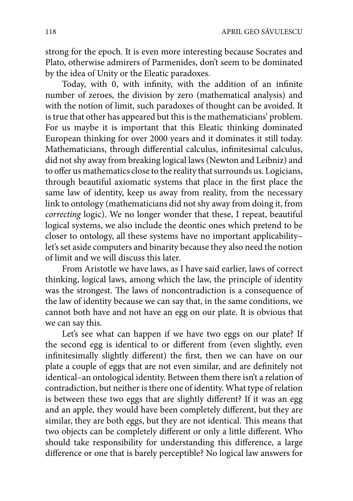strong for the epoch. It is even more interesting because Socrates and Plato, otherwise admirers of Parmenides, don't seem to be dominated by the idea of Unity or the Eleatic paradoxes.

Today, with 0, with infinity, with the addition of an infinite number of zeroes, the division by zero (mathematical analysis) and with the notion of limit, such paradoxes of thought can be avoided. It is true that other has appeared but this is the mathematicians' problem. For us maybe it is important that this Eleatic thinking dominated European thinking for over 2000 years and it dominates it still today. Mathematicians, through differential calculus, infinitesimal calculus, did not shy away from breaking logical laws (Newton and Leibniz) and to offer us mathematics close to the reality that surrounds us. Logicians, through beautiful axiomatic systems that place in the first place the same law of identity, keep us away from reality, from the necessary link to ontology (mathematicians did not shy away from doing it, from *correcting* logic). We no longer wonder that these, I repeat, beautiful logical systems, we also include the deontic ones which pretend to be closer to ontology, all these systems have no important applicability– let's set aside computers and binarity because they also need the notion of limit and we will discuss this later.

From Aristotle we have laws, as I have said earlier, laws of correct thinking, logical laws, among which the law, the principle of identity was the strongest. The laws of noncontradiction is a consequence of the law of identity because we can say that, in the same conditions, we cannot both have and not have an egg on our plate. It is obvious that we can say this.

Let's see what can happen if we have two eggs on our plate? If the second egg is identical to or different from (even slightly, even infinitesimally slightly different) the first, then we can have on our plate a couple of eggs that are not even similar, and are definitely not identical–an ontological identity. Between them there isn't a relation of contradiction, but neither is there one of identity. What type of relation is between these two eggs that are slightly different? If it was an egg and an apple, they would have been completely different, but they are similar, they are both eggs, but they are not identical. This means that two objects can be completely different or only a little different. Who should take responsibility for understanding this difference, a large difference or one that is barely perceptible? No logical law answers for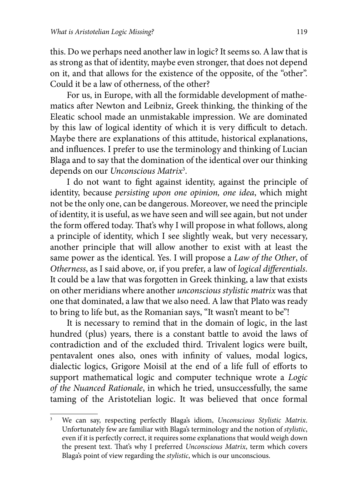this. Do we perhaps need another law in logic? It seems so. A law that is as strong as that of identity, maybe even stronger, that does not depend on it, and that allows for the existence of the opposite, of the "other". Could it be a law of otherness, of the other?

For us, in Europe, with all the formidable development of mathematics after Newton and Leibniz, Greek thinking, the thinking of the Eleatic school made an unmistakable impression. We are dominated by this law of logical identity of which it is very difficult to detach. Maybe there are explanations of this attitude, historical explanations, and influences. I prefer to use the terminology and thinking of Lucian Blaga and to say that the domination of the identical over our thinking depends on our *Unconscious Matrix*<sup>3</sup> .

I do not want to fight against identity, against the principle of identity, because *persisting upon one opinion, one idea*, which might not be the only one, can be dangerous. Moreover, we need the principle of identity, it is useful, as we have seen and will see again, but not under the form offered today. That's why I will propose in what follows, along a principle of identity, which I see slightly weak, but very necessary, another principle that will allow another to exist with at least the same power as the identical. Yes. I will propose a *Law of the Other*, of *Otherness*, as I said above, or, if you prefer, a law of *logical differentials*. It could be a law that was forgotten in Greek thinking, a law that exists on other meridians where another *unconscious stylistic matrix* was that one that dominated, a law that we also need. A law that Plato was ready to bring to life but, as the Romanian says, "It wasn't meant to be"!

It is necessary to remind that in the domain of logic, in the last hundred (plus) years, there is a constant battle to avoid the laws of contradiction and of the excluded third. Trivalent logics were built, pentavalent ones also, ones with infinity of values, modal logics, dialectic logics, Grigore Moisil at the end of a life full of efforts to support mathematical logic and computer technique wrote a *Logic of the Nuanced Rationale*, in which he tried, unsuccessfully, the same taming of the Aristotelian logic. It was believed that once formal

<sup>3</sup> We can say, respecting perfectly Blaga's idiom, *Unconscious Stylistic Matrix*. Unfortunately few are familiar with Blaga's terminology and the notion of *stylistic*, even if it is perfectly correct, it requires some explanations that would weigh down the present text. That's why I preferred *Unconscious Matrix*, term which covers Blaga's point of view regarding the *stylistic*, which is our unconscious.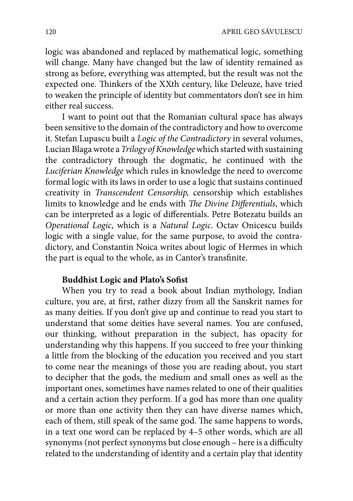logic was abandoned and replaced by mathematical logic, something will change. Many have changed but the law of identity remained as strong as before, everything was attempted, but the result was not the expected one. Thinkers of the XXth century, like Deleuze, have tried to weaken the principle of identity but commentators don't see in him either real success.

I want to point out that the Romanian cultural space has always been sensitive to the domain of the contradictory and how to overcome it. Stefan Lupascu built a *Logic of the Contradictory* in several volumes, Lucian Blaga wrote a *Trilogy of Knowledge* which started with sustaining the contradictory through the dogmatic, he continued with the *Luciferian Knowledge* which rules in knowledge the need to overcome formal logic with its laws in order to use a logic that sustains continued creativity in *Transcendent Censorship,* censorship which establishes limits to knowledge and he ends with *The Divine Differentials*, which can be interpreted as a logic of differentials. Petre Botezatu builds an *Operational Logic*, which is a *Natural Logic*. Octav Onicescu builds logic with a single value, for the same purpose, to avoid the contradictory, and Constantin Noica writes about logic of Hermes in which the part is equal to the whole, as in Cantor's transfinite.

## **Buddhist Logic and Plato's Sofist**

When you try to read a book about Indian mythology, Indian culture, you are, at first, rather dizzy from all the Sanskrit names for as many deities. If you don't give up and continue to read you start to understand that some deities have several names. You are confused, our thinking, without preparation in the subject, has opacity for understanding why this happens. If you succeed to free your thinking a little from the blocking of the education you received and you start to come near the meanings of those you are reading about, you start to decipher that the gods, the medium and small ones as well as the important ones, sometimes have names related to one of their qualities and a certain action they perform. If a god has more than one quality or more than one activity then they can have diverse names which, each of them, still speak of the same god. The same happens to words, in a text one word can be replaced by 4–5 other words, which are all synonyms (not perfect synonyms but close enough - here is a difficulty related to the understanding of identity and a certain play that identity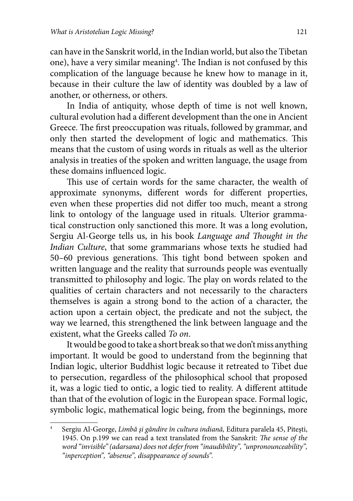can have in the Sanskrit world, in the Indian world, but also the Tibetan one), have a very similar meaning $^4$ . The Indian is not confused by this complication of the language because he knew how to manage in it, because in their culture the law of identity was doubled by a law of another, or otherness, or others.

In India of antiquity, whose depth of time is not well known, cultural evolution had a different development than the one in Ancient Greece. The first preoccupation was rituals, followed by grammar, and only then started the development of logic and mathematics. This means that the custom of using words in rituals as well as the ulterior analysis in treaties of the spoken and written language, the usage from these domains influenced logic.

This use of certain words for the same character, the wealth of approximate synonyms, different words for different properties, even when these properties did not differ too much, meant a strong link to ontology of the language used in rituals. Ulterior grammatical construction only sanctioned this more. It was a long evolution, Sergiu Al-George tells us, in his book *Language and Thought in the Indian Culture*, that some grammarians whose texts he studied had 50–60 previous generations. This tight bond between spoken and written language and the reality that surrounds people was eventually transmitted to philosophy and logic. The play on words related to the qualities of certain characters and not necessarily to the characters themselves is again a strong bond to the action of a character, the action upon a certain object, the predicate and not the subject, the way we learned, this strengthened the link between language and the existent, what the Greeks called *To on*.

It would be good to take a short break so that we don't miss anything important. It would be good to understand from the beginning that Indian logic, ulterior Buddhist logic because it retreated to Tibet due to persecution, regardless of the philosophical school that proposed it, was a logic tied to ontic, a logic tied to reality. A different attitude than that of the evolution of logic in the European space. Formal logic, symbolic logic, mathematical logic being, from the beginnings, more

<sup>4</sup> Sergiu Al-George, *Limbă şi gândire în cultura indiană,* Editura paralela 45, Piteşti, 1945. On p.199 we can read a text translated from the Sanskrit: *The sense of the word "invisible" (adarsana) does not defer from "inaudibility", "unpronounceability", "inperception", "absense", disappearance of sounds".*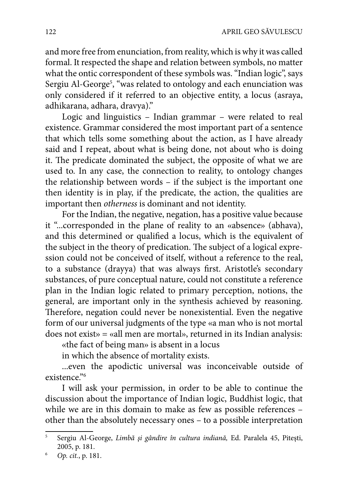and more free from enunciation, from reality, which is why it was called formal. It respected the shape and relation between symbols, no matter what the ontic correspondent of these symbols was. "Indian logic", says Sergiu Al-George<sup>5</sup>, "was related to ontology and each enunciation was only considered if it referred to an objective entity, a locus (asraya, adhikarana, adhara, dravya)."

Logic and linguistics – Indian grammar – were related to real existence. Grammar considered the most important part of a sentence that which tells some something about the action, as I have already said and I repeat, about what is being done, not about who is doing it. The predicate dominated the subject, the opposite of what we are used to. In any case, the connection to reality, to ontology changes the relationship between words – if the subject is the important one then identity is in play, if the predicate, the action, the qualities are important then *otherness* is dominant and not identity.

For the Indian, the negative, negation, has a positive value because it "...corresponded in the plane of reality to an «absence» (abhava), and this determined or qualified a locus, which is the equivalent of the subject in the theory of predication. The subject of a logical expression could not be conceived of itself, without a reference to the real, to a substance (drayya) that was always first. Aristotle's secondary substances, of pure conceptual nature, could not constitute a reference plan in the Indian logic related to primary perception, notions, the general, are important only in the synthesis achieved by reasoning. Therefore, negation could never be nonexistential. Even the negative form of our universal judgments of the type «a man who is not mortal does not exist» = «all men are mortal», returned in its Indian analysis:

«the fact of being man» is absent in a locus

in which the absence of mortality exists.

...even the apodictic universal was inconceivable outside of existence."6

I will ask your permission, in order to be able to continue the discussion about the importance of Indian logic, Buddhist logic, that while we are in this domain to make as few as possible references other than the absolutely necessary ones – to a possible interpretation

<sup>5</sup> Sergiu Al-George, *Limbă şi gândire în cultura indiană,* Ed. Paralela 45, Piteşti, 2005, p. 181.

<sup>6</sup> *Op. cit.*, p. 181.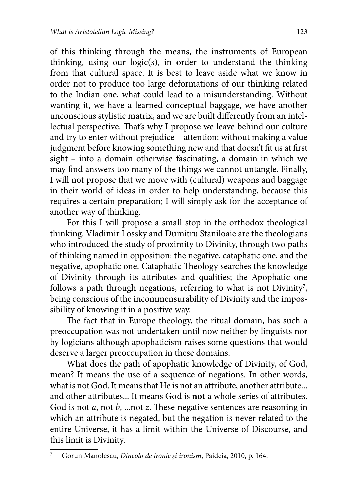of this thinking through the means, the instruments of European thinking, using our logic(s), in order to understand the thinking from that cultural space. It is best to leave aside what we know in order not to produce too large deformations of our thinking related to the Indian one, what could lead to a misunderstanding. Without wanting it, we have a learned conceptual baggage, we have another unconscious stylistic matrix, and we are built differently from an intellectual perspective. That's why I propose we leave behind our culture and try to enter without prejudice – attention: without making a value judgment before knowing something new and that doesn't fit us at first sight – into a domain otherwise fascinating, a domain in which we may find answers too many of the things we cannot untangle. Finally, I will not propose that we move with (cultural) weapons and baggage in their world of ideas in order to help understanding, because this requires a certain preparation; I will simply ask for the acceptance of another way of thinking.

For this I will propose a small stop in the orthodox theological thinking. Vladimir Lossky and Dumitru Staniloaie are the theologians who introduced the study of proximity to Divinity, through two paths of thinking named in opposition: the negative, cataphatic one, and the negative, apophatic one. Cataphatic Theology searches the knowledge of Divinity through its attributes and qualities; the Apophatic one follows a path through negations, referring to what is not Divinity<sup>7</sup>, being conscious of the incommensurability of Divinity and the impossibility of knowing it in a positive way.

The fact that in Europe theology, the ritual domain, has such a preoccupation was not undertaken until now neither by linguists nor by logicians although apophaticism raises some questions that would deserve a larger preoccupation in these domains.

What does the path of apophatic knowledge of Divinity, of God, mean? It means the use of a sequence of negations. In other words, what is not God. It means that He is not an attribute, another attribute... and other attributes... It means God is **not** a whole series of attributes. God is not *a*, not *b*, ...not *z*. These negative sentences are reasoning in which an attribute is negated, but the negation is never related to the entire Universe, it has a limit within the Universe of Discourse, and this limit is Divinity.

<sup>7</sup> Gorun Manolescu, *Dincolo de ironie şi ironism*, Paideia, 2010, p. 164.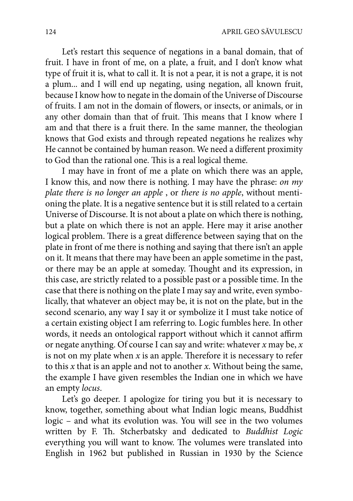Let's restart this sequence of negations in a banal domain, that of fruit. I have in front of me, on a plate, a fruit, and I don't know what type of fruit it is, what to call it. It is not a pear, it is not a grape, it is not a plum... and I will end up negating, using negation, all known fruit, because I know how to negate in the domain of the Universe of Discourse of fruits. I am not in the domain of flowers, or insects, or animals, or in any other domain than that of fruit. This means that I know where I am and that there is a fruit there. In the same manner, the theologian knows that God exists and through repeated negations he realizes why He cannot be contained by human reason. We need a different proximity to God than the rational one. This is a real logical theme.

I may have in front of me a plate on which there was an apple, I know this, and now there is nothing. I may have the phrase: *on my plate there is no longer an apple* , or *there is no apple*, without mentioning the plate. It is a negative sentence but it is still related to a certain Universe of Discourse. It is not about a plate on which there is nothing, but a plate on which there is not an apple. Here may it arise another logical problem. There is a great difference between saying that on the plate in front of me there is nothing and saying that there isn't an apple on it. It means that there may have been an apple sometime in the past, or there may be an apple at someday. Thought and its expression, in this case, are strictly related to a possible past or a possible time. In the case that there is nothing on the plate I may say and write, even symbolically, that whatever an object may be, it is not on the plate, but in the second scenario, any way I say it or symbolize it I must take notice of a certain existing object I am referring to. Logic fumbles here. In other words, it needs an ontological rapport without which it cannot affirm or negate anything. Of course I can say and write: whatever *x* may be, *x* is not on my plate when  $x$  is an apple. Therefore it is necessary to refer to this *x* that is an apple and not to another *x*. Without being the same, the example I have given resembles the Indian one in which we have an empty *locus*.

Let's go deeper. I apologize for tiring you but it is necessary to know, together, something about what Indian logic means, Buddhist logic – and what its evolution was. You will see in the two volumes written by F. Th. Stcherbatsky and dedicated to *Buddhist Logic* everything you will want to know. The volumes were translated into English in 1962 but published in Russian in 1930 by the Science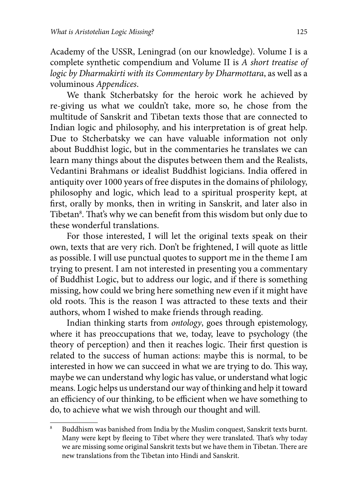Academy of the USSR, Leningrad (on our knowledge). Volume I is a complete synthetic compendium and Volume II is *A short treatise of logic by Dharmakirti with its Commentary by Dharmottara*, as well as a voluminous *Appendices*.

We thank Stcherbatsky for the heroic work he achieved by re-giving us what we couldn't take, more so, he chose from the multitude of Sanskrit and Tibetan texts those that are connected to Indian logic and philosophy, and his interpretation is of great help. Due to Stcherbatsky we can have valuable information not only about Buddhist logic, but in the commentaries he translates we can learn many things about the disputes between them and the Realists, Vedantini Brahmans or idealist Buddhist logicians. India offered in antiquity over 1000 years of free disputes in the domains of philology, philosophy and logic, which lead to a spiritual prosperity kept, at first, orally by monks, then in writing in Sanskrit, and later also in Tibetan<sup>8</sup>. That's why we can benefit from this wisdom but only due to these wonderful translations.

For those interested, I will let the original texts speak on their own, texts that are very rich. Don't be frightened, I will quote as little as possible. I will use punctual quotes to support me in the theme I am trying to present. I am not interested in presenting you a commentary of Buddhist Logic, but to address our logic, and if there is something missing, how could we bring here something new even if it might have old roots. This is the reason I was attracted to these texts and their authors, whom I wished to make friends through reading.

Indian thinking starts from *ontology*, goes through epistemology, where it has preoccupations that we, today, leave to psychology (the theory of perception) and then it reaches logic. Their first question is related to the success of human actions: maybe this is normal, to be interested in how we can succeed in what we are trying to do. This way, maybe we can understand why logic has value, or understand what logic means. Logic helps us understand our way of thinking and help it toward an efficiency of our thinking, to be efficient when we have something to do, to achieve what we wish through our thought and will.

<sup>8</sup> Buddhism was banished from India by the Muslim conquest, Sanskrit texts burnt. Many were kept by fleeing to Tibet where they were translated. That's why today we are missing some original Sanskrit texts but we have them in Tibetan. There are new translations from the Tibetan into Hindi and Sanskrit.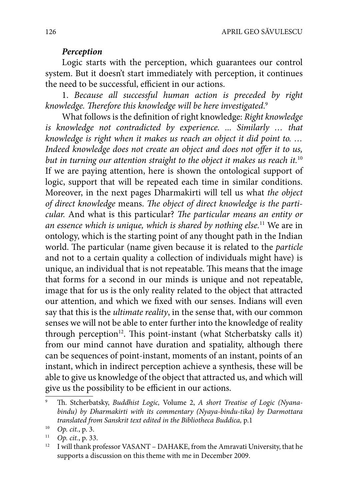## *Perception*

Logic starts with the perception, which guarantees our control system. But it doesn't start immediately with perception, it continues the need to be successful, efficient in our actions.

1. *Because all successful human action is preceded by right*  knowledge. Therefore this knowledge will be here investigated.<sup>9</sup>

What follows is the definition of right knowledge: *Right knowledge is knowledge not contradicted by experience. ... Similarly … that knowledge is right when it makes us reach an object it did point to. …*  Indeed knowledge does not create an object and does not offer it to us, *but in turning our attention straight to the object it makes us reach it.*<sup>10</sup> If we are paying attention, here is shown the ontological support of logic, support that will be repeated each time in similar conditions. Moreover, in the next pages Dharmakirti will tell us what *the object*  of direct knowledge means. The object of direct knowledge is the parti*cular.* And what is this particular? *The particular means an entity or an essence which is unique, which is shared by nothing else.*<sup>11</sup> We are in ontology, which is the starting point of any thought path in the Indian world. The particular (name given because it is related to the *particle* and not to a certain quality a collection of individuals might have) is unique, an individual that is not repeatable. This means that the image that forms for a second in our minds is unique and not repeatable, image that for us is the only reality related to the object that attracted our attention, and which we fixed with our senses. Indians will even say that this is the *ultimate reality*, in the sense that, with our common senses we will not be able to enter further into the knowledge of reality through perception<sup>12</sup>. This point-instant (what Stcherbatsky calls it) from our mind cannot have duration and spatiality, although there can be sequences of point-instant, moments of an instant, points of an instant, which in indirect perception achieve a synthesis, these will be able to give us knowledge of the object that attracted us, and which will give us the possibility to be efficient in our actions.

<sup>9</sup> Th. Stcherbatsky, *Buddhist Logic*, Volume 2, *A short Treatise of Logic (Nyanabindu) by Dharmakirti with its commentary (Nyaya-bindu-tika) by Darmottara translated from Sanskrit text edited in the Bibliotheca Buddica,* p.1

<sup>10</sup> *Op. cit.*, p. 3.

 $11$  *Op. cit.*, p. 33.

<sup>12</sup> I will thank professor VASANT – DAHAKE, from the Amravati University, that he supports a discussion on this theme with me in December 2009.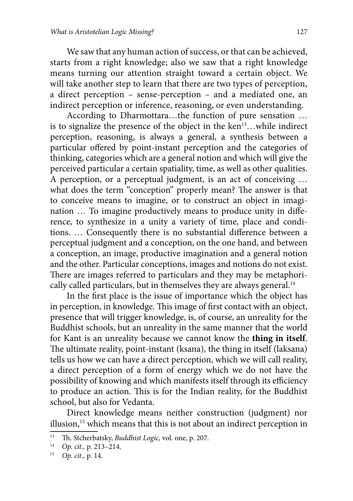We saw that any human action of success, or that can be achieved, starts from a right knowledge; also we saw that a right knowledge means turning our attention straight toward a certain object. We will take another step to learn that there are two types of perception, a direct perception – sense-perception – and a mediated one, an indirect perception or inference, reasoning, or even understanding.

According to Dharmottara…the function of pure sensation … is to signalize the presence of the object in the ken<sup>13</sup>...while indirect perception, reasoning, is always a general, a synthesis between a particular offered by point-instant perception and the categories of thinking, categories which are a general notion and which will give the perceived particular a certain spatiality, time, as well as other qualities. A perception, or a perceptual judgment, is an act of conceiving … what does the term "conception" properly mean? The answer is that to conceive means to imagine, or to construct an object in imagination ... To imagine productively means to produce unity in difference, to synthesize in a unity a variety of time, place and conditions. ... Consequently there is no substantial difference between a perceptual judgment and a conception, on the one hand, and between a conception, an image, productive imagination and a general notion and the other. Particular conceptions, images and notions do not exist. There are images referred to particulars and they may be metaphorically called particulars, but in themselves they are always general.<sup>14</sup>

In the first place is the issue of importance which the object has in perception, in knowledge. This image of first contact with an object, presence that will trigger knowledge, is, of course, an unreality for the Buddhist schools, but an unreality in the same manner that the world for Kant is an unreality because we cannot know the **thing in itself**. The ultimate reality, point-instant (ksana), the thing in itself (laksana) tells us how we can have a direct perception, which we will call reality, a direct perception of a form of energy which we do not have the possibility of knowing and which manifests itself through its efficiency to produce an action. This is for the Indian reality, for the Buddhist school, but also for Vedanta.

Direct knowledge means neither construction (judgment) nor illusion,<sup>15</sup> which means that this is not about an indirect perception in

<sup>&</sup>lt;sup>13</sup> Th. Stcherbatsky, *Buddhist Logic*, vol. one, p. 207.

<sup>14</sup> *Op. cit.,* p. 213–214.

<sup>15</sup> *Op. cit.,* p. 14.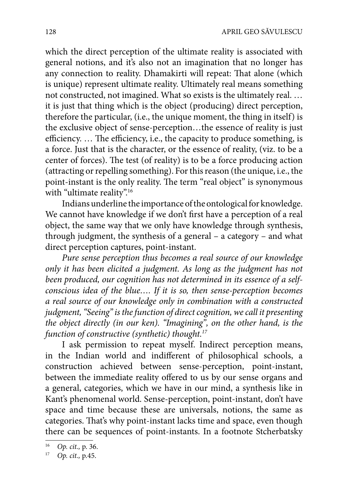which the direct perception of the ultimate reality is associated with general notions, and it's also not an imagination that no longer has any connection to reality. Dhamakirti will repeat: That alone (which is unique) represent ultimate reality. Ultimately real means something not constructed, not imagined. What so exists is the ultimately real. … it is just that thing which is the object (producing) direct perception, therefore the particular, (i.e., the unique moment, the thing in itself) is the exclusive object of sense-perception…the essence of reality is just efficiency. ... The efficiency, i.e., the capacity to produce something, is a force. Just that is the character, or the essence of reality, (viz. to be a center of forces). The test (of reality) is to be a force producing action (attracting or repelling something). For this reason (the unique, i.e., the point-instant is the only reality. The term "real object" is synonymous with "ultimate reality".<sup>16</sup>

Indians underline the importance of the ontological for knowledge. We cannot have knowledge if we don't first have a perception of a real object, the same way that we only have knowledge through synthesis, through judgment, the synthesis of a general – a category – and what direct perception captures, point-instant.

*Pure sense perception thus becomes a real source of our knowledge only it has been elicited a judgment. As long as the judgment has not been produced, our cognition has not determined in its essence of a selfconscious idea of the blue…. If it is so, then sense-perception becomes a real source of our knowledge only in combination with a constructed judgment, "Seeing" is the function of direct cognition, we call it presenting the object directly (in our ken). "Imagining", on the other hand, is the function of constructive (synthetic) thought.17*

I ask permission to repeat myself. Indirect perception means, in the Indian world and indifferent of philosophical schools, a construction achieved between sense-perception, point-instant, between the immediate reality offered to us by our sense organs and a general, categories, which we have in our mind, a synthesis like in Kant's phenomenal world. Sense-perception, point-instant, don't have space and time because these are universals, notions, the same as categories. That's why point-instant lacks time and space, even though there can be sequences of point-instants. In a footnote Stcherbatsky

<sup>16</sup> *Op. cit.,* p. 36.

<sup>17</sup> *Op. cit.,* p.45.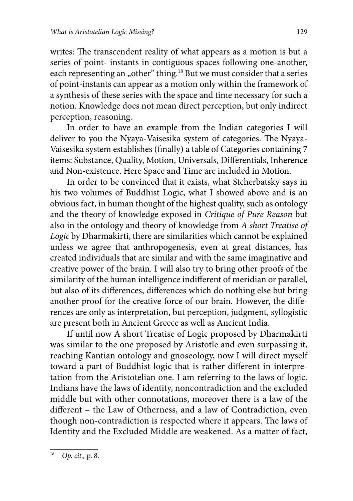writes: The transcendent reality of what appears as a motion is but a series of point- instants in contiguous spaces following one-another, each representing an "other" thing.<sup>18</sup> But we must consider that a series of point-instants can appear as a motion only within the framework of a synthesis of these series with the space and time necessary for such a notion. Knowledge does not mean direct perception, but only indirect perception, reasoning.

In order to have an example from the Indian categories I will deliver to you the Nyaya-Vaisesika system of categories. The Nyaya-Vaisesika system establishes (finally) a table of Categories containing 7 items: Substance, Quality, Motion, Universals, Differentials, Inherence and Non-existence. Here Space and Time are included in Motion.

In order to be convinced that it exists, what Stcherbatsky says in his two volumes of Buddhist Logic, what I showed above and is an obvious fact, in human thought of the highest quality, such as ontology and the theory of knowledge exposed in *Critique of Pure Reason* but also in the ontology and theory of knowledge from *A short Treatise of Logic* by Dharmakirti, there are similarities which cannot be explained unless we agree that anthropogenesis, even at great distances, has created individuals that are similar and with the same imaginative and creative power of the brain. I will also try to bring other proofs of the similarity of the human intelligence indifferent of meridian or parallel, but also of its differences, differences which do nothing else but bring another proof for the creative force of our brain. However, the differences are only as interpretation, but perception, judgment, syllogistic are present both in Ancient Greece as well as Ancient India.

If until now A short Treatise of Logic proposed by Dharmakirti was similar to the one proposed by Aristotle and even surpassing it, reaching Kantian ontology and gnoseology, now I will direct myself toward a part of Buddhist logic that is rather different in interpretation from the Aristotelian one. I am referring to the laws of logic. Indians have the laws of identity, noncontradiction and the excluded middle but with other connotations, moreover there is a law of the different – the Law of Otherness, and a law of Contradiction, even though non-contradiction is respected where it appears. The laws of Identity and the Excluded Middle are weakened. As a matter of fact,

<sup>18</sup> *Op. cit.,* p. 8.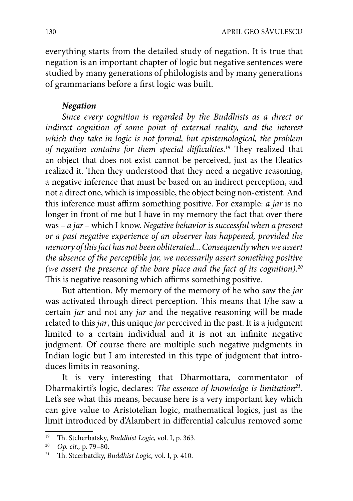everything starts from the detailed study of negation. It is true that negation is an important chapter of logic but negative sentences were studied by many generations of philologists and by many generations of grammarians before a first logic was built.

## *Negation*

*Since every cognition is regarded by the Buddhists as a direct or*  indirect cognition of some point of external reality, and the interest *which they take in logic is not formal, but epistemological, the problem*  of negation contains for them special difficulties.<sup>19</sup> They realized that an object that does not exist cannot be perceived, just as the Eleatics realized it. Then they understood that they need a negative reasoning, a negative inference that must be based on an indirect perception, and not a direct one, which is impossible, the object being non-existent. And this inference must affirm something positive. For example: *a jar* is no longer in front of me but I have in my memory the fact that over there was – *a jar* – which I know. *Negative behavior is successful when a present or a past negative experience of an observer has happened, provided the memory of this fact has not been obliterated... Consequently when we assert the absence of the perceptible jar, we necessarily assert something positive (we assert the presence of the bare place and the fact of its cognition).20* This is negative reasoning which affirms something positive.

But attention. My memory of the memory of he who saw the *jar* was activated through direct perception. This means that I/he saw a certain *jar* and not any *jar* and the negative reasoning will be made related to this *jar*, this unique *jar* perceived in the past. It is a judgment limited to a certain individual and it is not an infinite negative judgment. Of course there are multiple such negative judgments in Indian logic but I am interested in this type of judgment that introduces limits in reasoning.

It is very interesting that Dharmottara, commentator of Dharmakirti's logic, declares: *The essence of knowledge is limitation*<sup>21</sup>. Let's see what this means, because here is a very important key which can give value to Aristotelian logic, mathematical logics, just as the limit introduced by d'Alambert in differential calculus removed some

<sup>&</sup>lt;sup>19</sup> Th. Stcherbatsky, *Buddhist Logic*, vol. I, p. 363.<br><sup>20</sup> Op. *cit*, p. 79, 80

<sup>20</sup> *Op. cit.,* p. 79–80.

Th. Stcerbatdky, *Buddhist Logic*, vol. I, p. 410.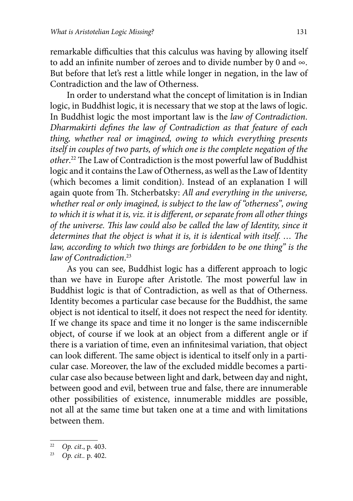remarkable difficulties that this calculus was having by allowing itself to add an infinite number of zeroes and to divide number by 0 and  $\infty$ . But before that let's rest a little while longer in negation, in the law of Contradiction and the law of Otherness.

In order to understand what the concept of limitation is in Indian logic, in Buddhist logic, it is necessary that we stop at the laws of logic. In Buddhist logic the most important law is the *law of Contradiction*. *Dharmakirti defines the law of Contradiction as that feature of each thing, whether real or imagined, owing to which everything presents itself in couples of two parts, of which one is the complete negation of the*  other.<sup>22</sup> The Law of Contradiction is the most powerful law of Buddhist logic and it contains the Law of Otherness, as well as the Law of Identity (which becomes a limit condition). Instead of an explanation I will again quote from Th. Stcherbatsky: All and everything in the universe, *whether real or only imagined, is subject to the law of "otherness", owing*  to which it is what it is, viz. it is different, or separate from all other things of the universe. This law could also be called the law of Identity, since it *determines that the object is what it is, it is identical with itself. ... The law, according to which two things are forbidden to be one thing" is the law of Contradiction*. 23

As you can see, Buddhist logic has a different approach to logic than we have in Europe after Aristotle. The most powerful law in Buddhist logic is that of Contradiction, as well as that of Otherness. Identity becomes a particular case because for the Buddhist, the same object is not identical to itself, it does not respect the need for identity. If we change its space and time it no longer is the same indiscernible object, of course if we look at an object from a different angle or if there is a variation of time, even an infinitesimal variation, that object can look different. The same object is identical to itself only in a particular case. Moreover, the law of the excluded middle becomes a particular case also because between light and dark, between day and night, between good and evil, between true and false, there are innumerable other possibilities of existence, innumerable middles are possible, not all at the same time but taken one at a time and with limitations between them.

<sup>22</sup> *Op. cit*., p. 403.

<sup>23</sup> *Op. cit..* p. 402.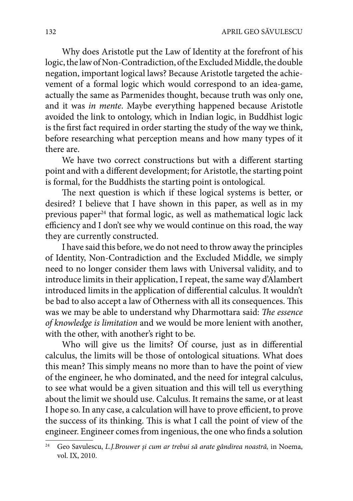Why does Aristotle put the Law of Identity at the forefront of his logic, the law of Non-Contradiction, of the Excluded Middle, the double negation, important logical laws? Because Aristotle targeted the achievement of a formal logic which would correspond to an idea-game, actually the same as Parmenides thought, because truth was only one, and it was *in mente*. Maybe everything happened because Aristotle avoided the link to ontology, which in Indian logic, in Buddhist logic is the first fact required in order starting the study of the way we think, before researching what perception means and how many types of it there are.

We have two correct constructions but with a different starting point and with a different development; for Aristotle, the starting point is formal, for the Buddhists the starting point is ontological.

The next question is which if these logical systems is better, or desired? I believe that I have shown in this paper, as well as in my previous paper<sup>24</sup> that formal logic, as well as mathematical logic lack efficiency and I don't see why we would continue on this road, the way they are currently constructed.

I have said this before, we do not need to throw away the principles of Identity, Non-Contradiction and the Excluded Middle, we simply need to no longer consider them laws with Universal validity, and to introduce limits in their application, I repeat, the same way d'Alambert introduced limits in the application of differential calculus. It wouldn't be bad to also accept a law of Otherness with all its consequences. This was we may be able to understand why Dharmottara said: The essence *of knowledge is limitation* and we would be more lenient with another, with the other, with another's right to be.

Who will give us the limits? Of course, just as in differential calculus, the limits will be those of ontological situations. What does this mean? This simply means no more than to have the point of view of the engineer, he who dominated, and the need for integral calculus, to see what would be a given situation and this will tell us everything about the limit we should use. Calculus. It remains the same, or at least I hope so. In any case, a calculation will have to prove efficient, to prove the success of its thinking. This is what I call the point of view of the engineer. Engineer comes from ingenious, the one who finds a solution

<sup>24</sup> Geo Savulescu, *L.J.Brouwer şi cum ar trebui să arate gândirea noastră,* in Noema, vol. IX, 2010.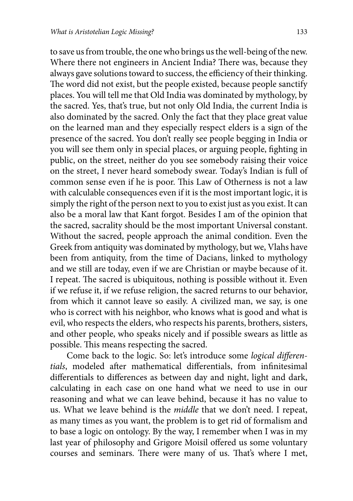to save us from trouble, the one who brings us the well-being of the new. Where there not engineers in Ancient India? There was, because they always gave solutions toward to success, the efficiency of their thinking. The word did not exist, but the people existed, because people sanctify places. You will tell me that Old India was dominated by mythology, by the sacred. Yes, that's true, but not only Old India, the current India is also dominated by the sacred. Only the fact that they place great value on the learned man and they especially respect elders is a sign of the presence of the sacred. You don't really see people begging in India or you will see them only in special places, or arguing people, fighting in public, on the street, neither do you see somebody raising their voice on the street, I never heard somebody swear. Today's Indian is full of common sense even if he is poor. This Law of Otherness is not a law with calculable consequences even if it is the most important logic, it is simply the right of the person next to you to exist just as you exist. It can also be a moral law that Kant forgot. Besides I am of the opinion that the sacred, sacrality should be the most important Universal constant. Without the sacred, people approach the animal condition. Even the Greek from antiquity was dominated by mythology, but we, Vlahs have been from antiquity, from the time of Dacians, linked to mythology and we still are today, even if we are Christian or maybe because of it. I repeat. The sacred is ubiquitous, nothing is possible without it. Even if we refuse it, if we refuse religion, the sacred returns to our behavior, from which it cannot leave so easily. A civilized man, we say, is one who is correct with his neighbor, who knows what is good and what is evil, who respects the elders, who respects his parents, brothers, sisters, and other people, who speaks nicely and if possible swears as little as possible. This means respecting the sacred.

Come back to the logic. So: let's introduce some *logical differen*tials, modeled after mathematical differentials, from infinitesimal differentials to differences as between day and night, light and dark, calculating in each case on one hand what we need to use in our reasoning and what we can leave behind, because it has no value to us. What we leave behind is the *middle* that we don't need. I repeat, as many times as you want, the problem is to get rid of formalism and to base a logic on ontology. By the way, I remember when I was in my last year of philosophy and Grigore Moisil offered us some voluntary courses and seminars. There were many of us. That's where I met,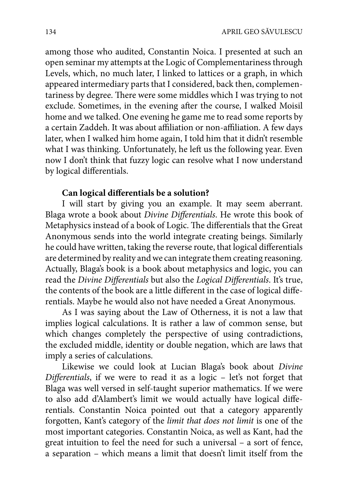among those who audited, Constantin Noica. I presented at such an open seminar my attempts at the Logic of Complementariness through Levels, which, no much later, I linked to lattices or a graph, in which appeared intermediary parts that I considered, back then, complementariness by degree. There were some middles which I was trying to not exclude. Sometimes, in the evening after the course, I walked Moisil home and we talked. One evening he game me to read some reports by a certain Zaddeh. It was about affiliation or non-affiliation. A few days later, when I walked him home again, I told him that it didn't resemble what I was thinking. Unfortunately, he left us the following year. Even now I don't think that fuzzy logic can resolve what I now understand by logical differentials.

### Can logical differentials be a solution?

I will start by giving you an example. It may seem aberrant. Blaga wrote a book about *Divine Differentials*. He wrote this book of Metaphysics instead of a book of Logic. The differentials that the Great Anonymous sends into the world integrate creating beings. Similarly he could have written, taking the reverse route, that logical differentials are determined by reality and we can integrate them creating reasoning. Actually, Blaga's book is a book about metaphysics and logic, you can read the *Divine Differentials* but also the *Logical Differentials*. It's true, the contents of the book are a little different in the case of logical differentials. Maybe he would also not have needed a Great Anonymous.

As I was saying about the Law of Otherness, it is not a law that implies logical calculations. It is rather a law of common sense, but which changes completely the perspective of using contradictions, the excluded middle, identity or double negation, which are laws that imply a series of calculations.

Likewise we could look at Lucian Blaga's book about *Divine Differentials*, if we were to read it as a logic – let's not forget that Blaga was well versed in self-taught superior mathematics. If we were to also add d'Alambert's limit we would actually have logical differentials. Constantin Noica pointed out that a category apparently forgotten, Kant's category of the *limit that does not limit* is one of the most important categories. Constantin Noica, as well as Kant, had the great intuition to feel the need for such a universal – a sort of fence, a separation – which means a limit that doesn't limit itself from the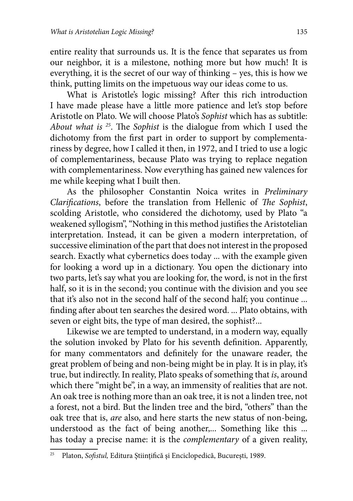entire reality that surrounds us. It is the fence that separates us from our neighbor, it is a milestone, nothing more but how much! It is everything, it is the secret of our way of thinking – yes, this is how we think, putting limits on the impetuous way our ideas come to us.

What is Aristotle's logic missing? After this rich introduction I have made please have a little more patience and let's stop before Aristotle on Plato. We will choose Plato's *Sophist* which has as subtitle: *About what is* <sup>25</sup>. The *Sophist* is the dialogue from which I used the dichotomy from the first part in order to support by complementariness by degree, how I called it then, in 1972, and I tried to use a logic of complementariness, because Plato was trying to replace negation with complementariness. Now everything has gained new valences for me while keeping what I built then.

As the philosopher Constantin Noica writes in *Preliminary Clarifications*, before the translation from Hellenic of *The Sophist*, scolding Aristotle, who considered the dichotomy, used by Plato "a weakened syllogism", "Nothing in this method justifies the Aristotelian interpretation. Instead, it can be given a modern interpretation, of successive elimination of the part that does not interest in the proposed search. Exactly what cybernetics does today ... with the example given for looking a word up in a dictionary. You open the dictionary into two parts, let's say what you are looking for, the word, is not in the first half, so it is in the second; you continue with the division and you see that it's also not in the second half of the second half; you continue ... finding after about ten searches the desired word. ... Plato obtains, with seven or eight bits, the type of man desired, the sophist?...

Likewise we are tempted to understand, in a modern way, equally the solution invoked by Plato for his seventh definition. Apparently, for many commentators and definitely for the unaware reader, the great problem of being and non-being might be in play. It is in play, it's true, but indirectly. In reality, Plato speaks of something that *is*, around which there "might be", in a way, an immensity of realities that are not. An oak tree is nothing more than an oak tree, it is not a linden tree, not a forest, not a bird. But the linden tree and the bird, "others" than the oak tree that is, *are* also, and here starts the new status of non-being, understood as the fact of being another,... Something like this ... has today a precise name: it is the *complementary* of a given reality,

<sup>&</sup>lt;sup>25</sup> Platon, *Sofistul*, Editura Științifică și Enciclopedică, București, 1989.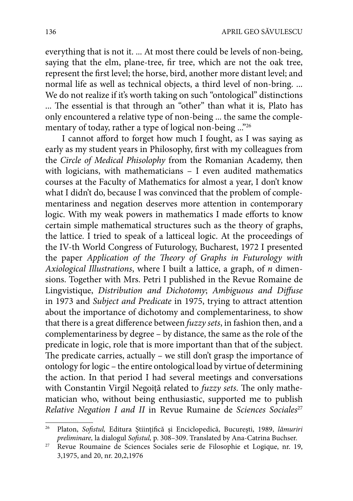everything that is not it. ... At most there could be levels of non-being, saying that the elm, plane-tree, fir tree, which are not the oak tree, represent the first level; the horse, bird, another more distant level; and normal life as well as technical objects, a third level of non-bring. ... We do not realize if it's worth taking on such "ontological" distinctions ... The essential is that through an "other" than what it is, Plato has only encountered a relative type of non-being ... the same the complementary of today, rather a type of logical non-being ..."26

I cannot afford to forget how much I fought, as I was saying as early as my student years in Philosophy, first with my colleagues from the *Circle of Medical Phisolophy* from the Romanian Academy, then with logicians, with mathematicians – I even audited mathematics courses at the Faculty of Mathematics for almost a year, I don't know what I didn't do, because I was convinced that the problem of complementariness and negation deserves more attention in contemporary logic. With my weak powers in mathematics I made efforts to know certain simple mathematical structures such as the theory of graphs, the lattice. I tried to speak of a latticeal logic. At the proceedings of the IV-th World Congress of Futurology, Bucharest, 1972 I presented the paper *Application of the Theory of Graphs in Futurology with Axiological Illustrations*, where I built a lattice, a graph, of *n* dimensions. Together with Mrs. Petri I published in the Revue Romaine de Lingvistique, *Distribution and Dichotomy*; *Ambiguous and Diffuse* in 1973 and *Subject and Predicate* in 1975, trying to attract attention about the importance of dichotomy and complementariness, to show that there is a great difference between *fuzzy sets*, in fashion then, and a complementariness by degree – by distance, the same as the role of the predicate in logic, role that is more important than that of the subject. The predicate carries, actually – we still don't grasp the importance of ontology for logic – the entire ontological load by virtue of determining the action. In that period I had several meetings and conversations with Constantin Virgil Negoiță related to *fuzzy sets*. The only mathematician who, without being enthusiastic, supported me to publish *Relative Negation I and II* in Revue Rumaine de *Sciences Sociales*<sup>27</sup>

Platon, *Sofistul*, Editura Științifică și Enciclopedică, București, 1989, lămuriri *preliminare, la dialogul Sofistul, p.* 308-309. Translated by Ana-Catrina Buchser.

<sup>&</sup>lt;sup>27</sup> Revue Roumaine de Sciences Sociales serie de Filosophie et Logique, nr. 19, 3,1975, and 20, nr. 20,2,1976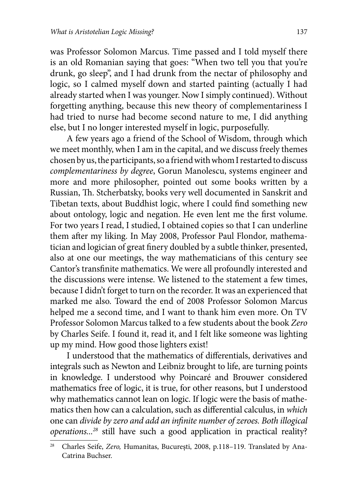was Professor Solomon Marcus. Time passed and I told myself there is an old Romanian saying that goes: "When two tell you that you're drunk, go sleep", and I had drunk from the nectar of philosophy and logic, so I calmed myself down and started painting (actually I had already started when I was younger. Now I simply continued). Without forgetting anything, because this new theory of complementariness I had tried to nurse had become second nature to me, I did anything else, but I no longer interested myself in logic, purposefully.

A few years ago a friend of the School of Wisdom, through which we meet monthly, when I am in the capital, and we discuss freely themes chosen by us, the participants, so a friend with whom I restarted to discuss *complementariness by degree*, Gorun Manolescu, systems engineer and more and more philosopher, pointed out some books written by a Russian, Th. Stcherbatsky, books very well documented in Sanskrit and Tibetan texts, about Buddhist logic, where I could find something new about ontology, logic and negation. He even lent me the first volume. For two years I read, I studied, I obtained copies so that I can underline them after my liking. In May 2008, Professor Paul Flondor, mathematician and logician of great finery doubled by a subtle thinker, presented, also at one our meetings, the way mathematicians of this century see Cantor's transfinite mathematics. We were all profoundly interested and the discussions were intense. We listened to the statement a few times, because I didn't forget to turn on the recorder. It was an experienced that marked me also. Toward the end of 2008 Professor Solomon Marcus helped me a second time, and I want to thank him even more. On TV Professor Solomon Marcus talked to a few students about the book *Zero* by Charles Seife. I found it, read it, and I felt like someone was lighting up my mind. How good those lighters exist!

I understood that the mathematics of differentials, derivatives and integrals such as Newton and Leibniz brought to life, are turning points in knowledge. I understood why Poincaré and Brouwer considered mathematics free of logic, it is true, for other reasons, but I understood why mathematics cannot lean on logic. If logic were the basis of mathematics then how can a calculation, such as differential calculus, in which one can *divide by zero and add an infinite number of zeroes. Both illogical operations...28* still have such a good application in practical reality?

<sup>28</sup> Charles Seife, *Zero,* Humanitas, Bucureşti, 2008, p.118–119. Translated by Ana-Catrina Buchser.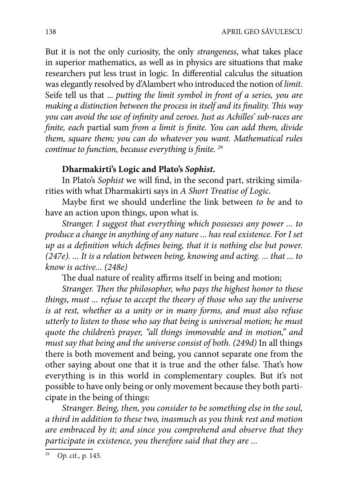But it is not the only curiosity, the only *strangeness*, what takes place in superior mathematics, as well as in physics are situations that make researchers put less trust in logic. In differential calculus the situation was elegantly resolved by d'Alambert who introduced the notion of *limit*. Seife tell us that ... *putting the limit symbol in front of a series, you are making a distinction between the process in itself and its finality. This way you can avoid the use of infinity and zeroes. Just as Achilles' sub-races are finite, each partial sum from a limit is finite. You can add them, divide them, square them; you can do whatever you want. Mathematical rules continue to function, because everything is finite.* <sup>29</sup>

## **Dharmakirti's Logic and Plato's** *Sophist***.**

In Plato's *Sophist* we will find, in the second part, striking similarities with what Dharmakirti says in *A Short Treatise of Logic*.

Maybe first we should underline the link between *to be* and to have an action upon things, upon what is.

*Stranger. I suggest that everything which possesses any power ... to produce a change in anything of any nature ... has real existence. For I set up as a definition which defines being, that it is nothing else but power. (247e). ... It is a relation between being, knowing and acting. ... that ... to know is active... (248e)*

The dual nature of reality affirms itself in being and motion;

*Stranger. Then the philosopher, who pays the highest honor to these things, must ... refuse to accept the theory of those who say the universe is at rest, whether as a unity or in many forms, and must also refuse utterly to listen to those who say that being is universal motion; he must quote the children's prayer, "all things immovable and in motion," and must say that being and the universe consist of both. (249d)* In all things there is both movement and being, you cannot separate one from the other saying about one that it is true and the other false. That's how everything is in this world in complementary couples. But it's not possible to have only being or only movement because they both participate in the being of things:

*Stranger. Being, then, you consider to be something else in the soul, a third in addition to these two, inasmuch as you think rest and motion are embraced by it; and since you comprehend and observe that they participate in existence, you therefore said that they are ...*

<sup>29</sup> *Op. cit.,* p. 145.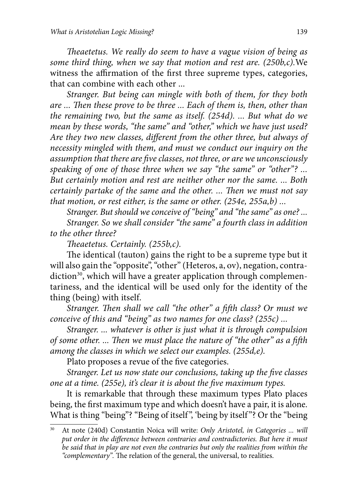*Theaetetus. We really do seem to have a vague vision of being as some third thing, when we say that motion and rest are. (250b,c).*We witness the affirmation of the first three supreme types, categories, that can combine with each other ...

*Stranger. But being can mingle with both of them, for they both*  are ... Then these prove to be three ... Each of them is, then, other than *the remaining two, but the same as itself. (254d). ... But what do we mean by these words, "the same" and "other," which we have just used?*  Are they two new classes, different from the other three, but always of *necessity mingled with them, and must we conduct our inquiry on the*  assumption that there are five classes, not three, or are we unconsciously *speaking of one of those three when we say "the same" or "other"? ... But certainly motion and rest are neither other nor the same. ... Both certainly partake of the same and the other. ... Then we must not say that motion, or rest either, is the same or other. (254e, 255a,b) ...*

*Stranger. But should we conceive of "being" and "the same" as one? ... Stranger. So we shall consider "the same" a fourth class in addition to the other three?*

*Th eaetetus. Certainly. (255b,c).*

The identical (tauton) gains the right to be a supreme type but it will also gain the "opposite", "other" (Heteros, a, ov), negation, contra $diction<sup>30</sup>$ , which will have a greater application through complementariness, and the identical will be used only for the identity of the thing (being) with itself.

*Stranger. Then shall we call "the other" a fifth class? Or must we conceive of this and "being" as two names for one class? (255c) ...*

*Stranger. ... whatever is other is just what it is through compulsion of some other. ... Then we must place the nature of "the other" as a fifth among the classes in which we select our examples. (255d,e).*

Plato proposes a revue of the five categories.

*Stranger. Let us now state our conclusions, taking up the five classes one at a time. (255e), it's clear it is about the five maximum types.* 

It is remarkable that through these maximum types Plato places being, the first maximum type and which doesn't have a pair, it is alone. What is thing "being"? "Being of itself", 'being by itself"? Or the "being

<sup>30</sup> At note (240d) Constantin Noica will write: *Only Aristotel, in Categories ... will*  put order in the difference between contraries and contradictories. But here it must *be said that in play are not even the contraries but only the realities from within the*  "complementary". The relation of the general, the universal, to realities.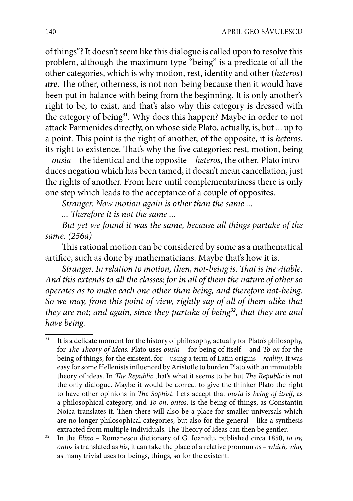of things"? It doesn't seem like this dialogue is called upon to resolve this problem, although the maximum type "being" is a predicate of all the other categories, which is why motion, rest, identity and other (*heteros*) are. The other, otherness, is not non-being because then it would have been put in balance with being from the beginning. It is only another's right to be, to exist, and that's also why this category is dressed with the category of being<sup>31</sup>. Why does this happen? Maybe in order to not attack Parmenides directly, on whose side Plato, actually, is, but ... up to a point. This point is the right of another, of the opposite, it is *heteros*, its right to existence. That's why the five categories: rest, motion, being – *ousia –* the identical and the opposite – *heteros*, the other. Plato introduces negation which has been tamed, it doesn't mean cancellation, just the rights of another. From here until complementariness there is only one step which leads to the acceptance of a couple of opposites.

*Stranger. Now motion again is other than the same ...*

*... Th erefore it is not the same ...*

*But yet we found it was the same, because all things partake of the same. (256a)*

This rational motion can be considered by some as a mathematical artifice, such as done by mathematicians. Maybe that's how it is.

*Stranger. In relation to motion, then, not-being is. That is inevitable. And this extends to all the classes; for in all of them the nature of other so operates as to make each one other than being, and therefore not-being. So we may, from this point of view, rightly say of all of them alike that they are not; and again, since they partake of being32, that they are and have being.*

<sup>&</sup>lt;sup>31</sup> It is a delicate moment for the history of philosophy, actually for Plato's philosophy, for *The Theory of Ideas*. Plato uses *ousia* – for being of itself – and *To on* for the being of things, for the existent, for – using a term of Latin origins – *reality*. It was easy for some Hellenists influenced by Aristotle to burden Plato with an immutable theory of ideas. In *The Republic* that's what it seems to be but *The Republic* is not the only dialogue. Maybe it would be correct to give the thinker Plato the right to have other opinions in *The Sophist*. Let's accept that *ousia* is *being of itself*, as a philosophical category, and *To on*, *ontos*, is the being of things, as Constantin Noica translates it. Then there will also be a place for smaller universals which are no longer philosophical categories, but also for the general – like a synthesis extracted from multiple individuals. The Theory of Ideas can then be gentler.

<sup>&</sup>lt;sup>32</sup> In the *Elino* – Romanescu dictionary of G. Ioanidu, published circa 1850, *to ov*, *ontos* is translated as *his*, it can take the place of a relative pronoun *os* – *which, who,*  as many trivial uses for beings, things, so for the existent.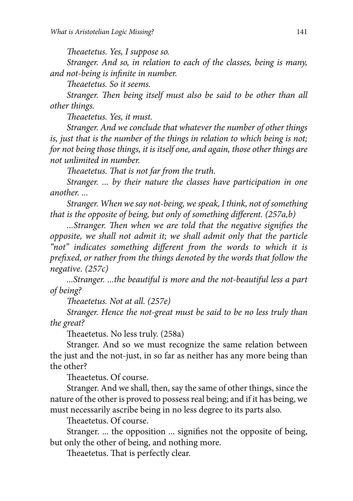*The aetetus. Yes, I suppose so.* 

*Stranger. And so, in relation to each of the classes, being is many, and not-being is infinite in number.* 

*The aetetus. So it seems.* 

*Stranger. Then being itself must also be said to be other than all other things.*

*The aetetus. Yes, it must.* 

*Stranger. And we conclude that whatever the number of other things is, just that is the number of the things in relation to which being is not; for not being those things, it is itself one, and again, those other things are not unlimited in number.*

*Theaetetus. That is not far from the truth.* 

*Stranger. ... by their nature the classes have participation in one another. ...*

*Stranger. When we say not-being, we speak, I think, not of something that is the opposite of being, but only of something different. (257a,b)* 

...Stranger. Then when we are told that the negative signifies the *opposite, we shall not admit it; we shall admit only that the particle*  "not" indicates something different from the words to which it is *prefi xed, or rather from the things denoted by the words that follow the negative. (257c)*

*...Stranger. ...the beautiful is more and the not-beautiful less a part of being?*

*The aetetus. Not at all. (257e)* 

*Stranger. Hence the not-great must be said to be no less truly than the great?*

Theaetetus. No less truly. (258a)

Stranger. And so we must recognize the same relation between the just and the not-just, in so far as neither has any more being than the other?

Theaetetus. Of course.

Stranger. And we shall, then, say the same of other things, since the nature of the other is proved to possess real being; and if it has being, we must necessarily ascribe being in no less degree to its parts also.

Theaetetus. Of course.

Stranger. ... the opposition ... signifies not the opposite of being, but only the other of being, and nothing more.

Theaetetus. That is perfectly clear.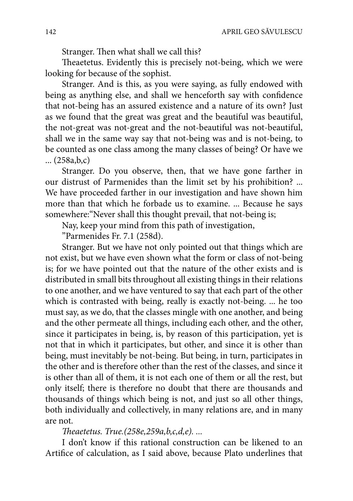Stranger. Then what shall we call this?

Theaetetus. Evidently this is precisely not-being, which we were looking for because of the sophist.

Stranger. And is this, as you were saying, as fully endowed with being as anything else, and shall we henceforth say with confidence that not-being has an assured existence and a nature of its own? Just as we found that the great was great and the beautiful was beautiful, the not-great was not-great and the not-beautiful was not-beautiful, shall we in the same way say that not-being was and is not-being, to be counted as one class among the many classes of being? Or have we ... (258a,b,c)

Stranger. Do you observe, then, that we have gone farther in our distrust of Parmenides than the limit set by his prohibition? ... We have proceeded farther in our investigation and have shown him more than that which he forbade us to examine. ... Because he says somewhere:"Never shall this thought prevail, that not-being is;

Nay, keep your mind from this path of investigation,

"Parmenides Fr. 7.1 (258d).

Stranger. But we have not only pointed out that things which are not exist, but we have even shown what the form or class of not-being is; for we have pointed out that the nature of the other exists and is distributed in small bits throughout all existing things in their relations to one another, and we have ventured to say that each part of the other which is contrasted with being, really is exactly not-being. ... he too must say, as we do, that the classes mingle with one another, and being and the other permeate all things, including each other, and the other, since it participates in being, is, by reason of this participation, yet is not that in which it participates, but other, and since it is other than being, must inevitably be not-being. But being, in turn, participates in the other and is therefore other than the rest of the classes, and since it is other than all of them, it is not each one of them or all the rest, but only itself; there is therefore no doubt that there are thousands and thousands of things which being is not, and just so all other things, both individually and collectively, in many relations are, and in many are not.

#### *Th eaetetus. True.(258e,259a,b,c,d,e). ...*

I don't know if this rational construction can be likened to an Artifice of calculation, as I said above, because Plato underlines that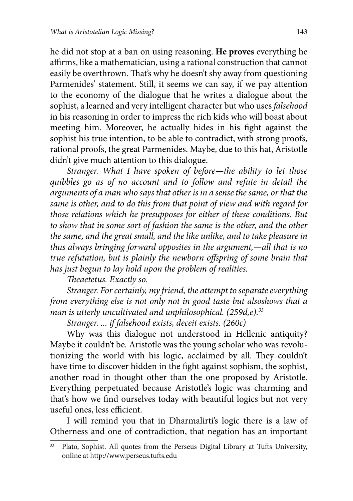he did not stop at a ban on using reasoning. **He proves** everything he affirms, like a mathematician, using a rational construction that cannot easily be overthrown. That's why he doesn't shy away from questioning Parmenides' statement. Still, it seems we can say, if we pay attention to the economy of the dialogue that he writes a dialogue about the sophist, a learned and very intelligent character but who uses *falsehood* in his reasoning in order to impress the rich kids who will boast about meeting him. Moreover, he actually hides in his fight against the sophist his true intention, to be able to contradict, with strong proofs, rational proofs, the great Parmenides. Maybe, due to this hat, Aristotle didn't give much attention to this dialogue.

*Stranger. What I have spoken of before—the ability to let those quibbles go as of no account and to follow and refute in detail the arguments of a man who says that other is in a sense the same, or that the same is other, and to do this from that point of view and with regard for those relations which he presupposes for either of these conditions. But to show that in some sort of fashion the same is the other, and the other the same, and the great small, and the like unlike, and to take pleasure in thus always bringing forward opposites in the argument,—all that is no true refutation, but is plainly the newborn offspring of some brain that has just begun to lay hold upon the problem of realities.*

*Th eaetetus. Exactly so.*

*Stranger. For certainly, my friend, the attempt to separate everything from everything else is not only not in good taste but alsoshows that a man is utterly uncultivated and unphilosophical. (259d,e).33*

*Stranger. ... if falsehood exists, deceit exists. (260c)*

Why was this dialogue not understood in Hellenic antiquity? Maybe it couldn't be. Aristotle was the young scholar who was revolutionizing the world with his logic, acclaimed by all. They couldn't have time to discover hidden in the fight against sophism, the sophist, another road in thought other than the one proposed by Aristotle. Everything perpetuated because Aristotle's logic was charming and that's how we find ourselves today with beautiful logics but not very useful ones, less efficient.

I will remind you that in Dharmalirti's logic there is a law of Otherness and one of contradiction, that negation has an important

<sup>&</sup>lt;sup>33</sup> Plato, Sophist. All quotes from the Perseus Digital Library at Tufts University, online at http://www.perseus.tufts.edu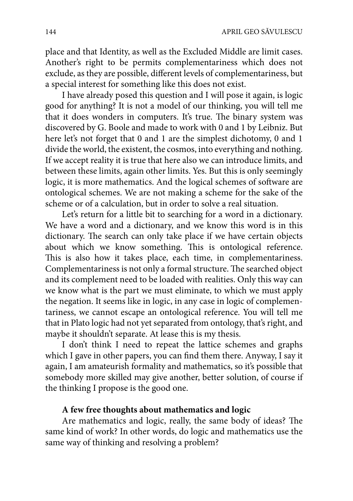place and that Identity, as well as the Excluded Middle are limit cases. Another's right to be permits complementariness which does not exclude, as they are possible, different levels of complementariness, but a special interest for something like this does not exist.

I have already posed this question and I will pose it again, is logic good for anything? It is not a model of our thinking, you will tell me that it does wonders in computers. It's true. The binary system was discovered by G. Boole and made to work with 0 and 1 by Leibniz. But here let's not forget that 0 and 1 are the simplest dichotomy, 0 and 1 divide the world, the existent, the cosmos, into everything and nothing. If we accept reality it is true that here also we can introduce limits, and between these limits, again other limits. Yes. But this is only seemingly logic, it is more mathematics. And the logical schemes of software are ontological schemes. We are not making a scheme for the sake of the scheme or of a calculation, but in order to solve a real situation.

Let's return for a little bit to searching for a word in a dictionary. We have a word and a dictionary, and we know this word is in this dictionary. The search can only take place if we have certain objects about which we know something. This is ontological reference. This is also how it takes place, each time, in complementariness. Complementariness is not only a formal structure. The searched object and its complement need to be loaded with realities. Only this way can we know what is the part we must eliminate, to which we must apply the negation. It seems like in logic, in any case in logic of complementariness, we cannot escape an ontological reference. You will tell me that in Plato logic had not yet separated from ontology, that's right, and maybe it shouldn't separate. At lease this is my thesis.

I don't think I need to repeat the lattice schemes and graphs which I gave in other papers, you can find them there. Anyway, I say it again, I am amateurish formality and mathematics, so it's possible that somebody more skilled may give another, better solution, of course if the thinking I propose is the good one.

#### **A few free thoughts about mathematics and logic**

Are mathematics and logic, really, the same body of ideas? The same kind of work? In other words, do logic and mathematics use the same way of thinking and resolving a problem?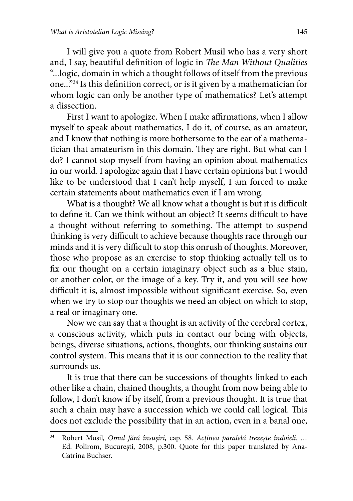I will give you a quote from Robert Musil who has a very short and, I say, beautiful definition of logic in *The Man Without Qualities* "...logic, domain in which a thought follows of itself from the previous one..."<sup>34</sup> Is this definition correct, or is it given by a mathematician for whom logic can only be another type of mathematics? Let's attempt a dissection.

First I want to apologize. When I make affirmations, when I allow myself to speak about mathematics, I do it, of course, as an amateur, and I know that nothing is more bothersome to the ear of a mathematician that amateurism in this domain. They are right. But what can I do? I cannot stop myself from having an opinion about mathematics in our world. I apologize again that I have certain opinions but I would like to be understood that I can't help myself, I am forced to make certain statements about mathematics even if I am wrong.

What is a thought? We all know what a thought is but it is difficult to define it. Can we think without an object? It seems difficult to have a thought without referring to something. The attempt to suspend thinking is very difficult to achieve because thoughts race through our minds and it is very difficult to stop this onrush of thoughts. Moreover, those who propose as an exercise to stop thinking actually tell us to fix our thought on a certain imaginary object such as a blue stain, or another color, or the image of a key. Try it, and you will see how difficult it is, almost impossible without significant exercise. So, even when we try to stop our thoughts we need an object on which to stop, a real or imaginary one.

Now we can say that a thought is an activity of the cerebral cortex, a conscious activity, which puts in contact our being with objects, beings, diverse situations, actions, thoughts, our thinking sustains our control system. This means that it is our connection to the reality that surrounds us.

It is true that there can be successions of thoughts linked to each other like a chain, chained thoughts, a thought from now being able to follow, I don't know if by itself, from a previous thought. It is true that such a chain may have a succession which we could call logical. This does not exclude the possibility that in an action, even in a banal one,

<sup>34</sup> Robert Musil*, Omul fără însuşiri,* cap. 58. *Acţinea paralelă trezeşte îndoieli. …* Ed. Polirom, Bucureşti, 2008, p.300. Quote for this paper translated by Ana-Catrina Buchser.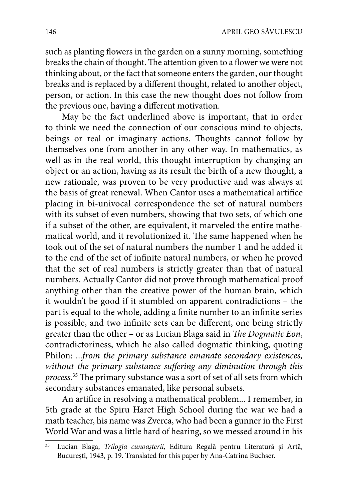such as planting flowers in the garden on a sunny morning, something breaks the chain of thought. The attention given to a flower we were not thinking about, or the fact that someone enters the garden, our thought breaks and is replaced by a different thought, related to another object, person, or action. In this case the new thought does not follow from the previous one, having a different motivation.

May be the fact underlined above is important, that in order to think we need the connection of our conscious mind to objects, beings or real or imaginary actions. Thoughts cannot follow by themselves one from another in any other way. In mathematics, as well as in the real world, this thought interruption by changing an object or an action, having as its result the birth of a new thought, a new rationale, was proven to be very productive and was always at the basis of great renewal. When Cantor uses a mathematical artifice placing in bi-univocal correspondence the set of natural numbers with its subset of even numbers, showing that two sets, of which one if a subset of the other, are equivalent, it marveled the entire mathematical world, and it revolutionized it. The same happened when he took out of the set of natural numbers the number 1 and he added it to the end of the set of infinite natural numbers, or when he proved that the set of real numbers is strictly greater than that of natural numbers. Actually Cantor did not prove through mathematical proof anything other than the creative power of the human brain, which it wouldn't be good if it stumbled on apparent contradictions – the part is equal to the whole, adding a finite number to an infinite series is possible, and two infinite sets can be different, one being strictly greater than the other – or as Lucian Blaga said in *The Dogmatic Eon*, contradictoriness, which he also called dogmatic thinking, quoting Philon: ...*from the primary substance emanate secondary existences,*  without the primary substance suffering any diminution through this *process.*<sup>35</sup> The primary substance was a sort of set of all sets from which secondary substances emanated, like personal subsets.

An artifice in resolving a mathematical problem... I remember, in 5th grade at the Spiru Haret High School during the war we had a math teacher, his name was Zverca, who had been a gunner in the First World War and was a little hard of hearing, so we messed around in his

<sup>35</sup> Lucian Blaga, *Trilogia cunoaşterii,* Editura Regală pentru Literatură şi Artă, Bucureşti, 1943, p. 19. Translated for this paper by Ana-Catrina Buchser.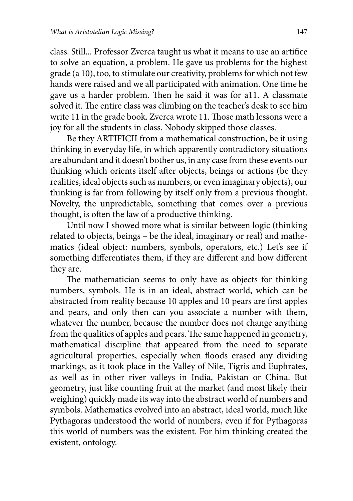class. Still... Professor Zverca taught us what it means to use an artifice to solve an equation, a problem. He gave us problems for the highest grade (a 10), too, to stimulate our creativity, problems for which not few hands were raised and we all participated with animation. One time he gave us a harder problem. Then he said it was for a11. A classmate solved it. The entire class was climbing on the teacher's desk to see him write 11 in the grade book. Zverca wrote 11. Those math lessons were a joy for all the students in class. Nobody skipped those classes.

Be they ARTIFICII from a mathematical construction, be it using thinking in everyday life, in which apparently contradictory situations are abundant and it doesn't bother us, in any case from these events our thinking which orients itself after objects, beings or actions (be they realities, ideal objects such as numbers, or even imaginary objects), our thinking is far from following by itself only from a previous thought. Novelty, the unpredictable, something that comes over a previous thought, is often the law of a productive thinking.

Until now I showed more what is similar between logic (thinking related to objects, beings – be the ideal, imaginary or real) and mathematics (ideal object: numbers, symbols, operators, etc.) Let's see if something differentiates them, if they are different and how different they are.

The mathematician seems to only have as objects for thinking numbers, symbols. He is in an ideal, abstract world, which can be abstracted from reality because 10 apples and 10 pears are first apples and pears, and only then can you associate a number with them, whatever the number, because the number does not change anything from the qualities of apples and pears. The same happened in geometry, mathematical discipline that appeared from the need to separate agricultural properties, especially when floods erased any dividing markings, as it took place in the Valley of Nile, Tigris and Euphrates, as well as in other river valleys in India, Pakistan or China. But geometry, just like counting fruit at the market (and most likely their weighing) quickly made its way into the abstract world of numbers and symbols. Mathematics evolved into an abstract, ideal world, much like Pythagoras understood the world of numbers, even if for Pythagoras this world of numbers was the existent. For him thinking created the existent, ontology.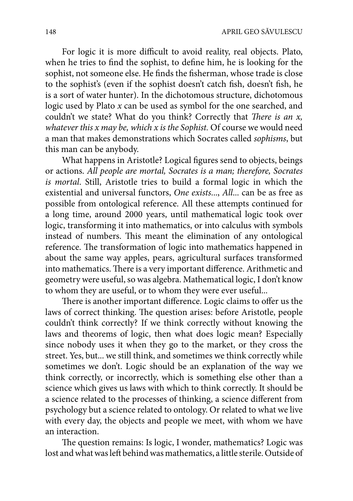For logic it is more difficult to avoid reality, real objects. Plato, when he tries to find the sophist, to define him, he is looking for the sophist, not someone else. He finds the fisherman, whose trade is close to the sophist's (even if the sophist doesn't catch fish, doesn't fish, he is a sort of water hunter). In the dichotomous structure, dichotomous logic used by Plato *x* can be used as symbol for the one searched, and couldn't we state? What do you think? Correctly that *There is an x*, *whatever this x may be, which x is the Sophist.* Of course we would need a man that makes demonstrations which Socrates called *sophisms*, but this man can be anybody.

What happens in Aristotle? Logical figures send to objects, beings or actions. *All people are mortal, Socrates is a man; therefore, Socrates is mortal*. Still, Aristotle tries to build a formal logic in which the existential and universal functors, *One exists*..., *All*... can be as free as possible from ontological reference. All these attempts continued for a long time, around 2000 years, until mathematical logic took over logic, transforming it into mathematics, or into calculus with symbols instead of numbers. This meant the elimination of any ontological reference. The transformation of logic into mathematics happened in about the same way apples, pears, agricultural surfaces transformed into mathematics. There is a very important difference. Arithmetic and geometry were useful, so was algebra. Mathematical logic, I don't know to whom they are useful, or to whom they were ever useful...

There is another important difference. Logic claims to offer us the laws of correct thinking. The question arises: before Aristotle, people couldn't think correctly? If we think correctly without knowing the laws and theorems of logic, then what does logic mean? Especially since nobody uses it when they go to the market, or they cross the street. Yes, but... we still think, and sometimes we think correctly while sometimes we don't. Logic should be an explanation of the way we think correctly, or incorrectly, which is something else other than a science which gives us laws with which to think correctly. It should be a science related to the processes of thinking, a science different from psychology but a science related to ontology. Or related to what we live with every day, the objects and people we meet, with whom we have an interaction.

The question remains: Is logic, I wonder, mathematics? Logic was lost and what was left behind was mathematics, a little sterile. Outside of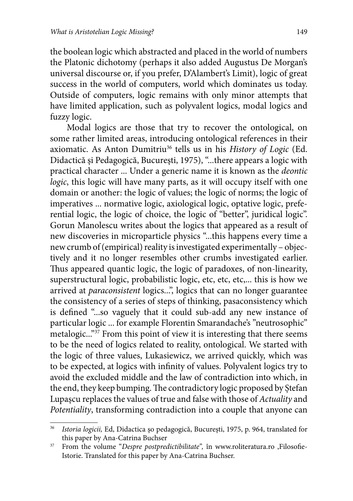the boolean logic which abstracted and placed in the world of numbers the Platonic dichotomy (perhaps it also added Augustus De Morgan's universal discourse or, if you prefer, D'Alambert's Limit), logic of great success in the world of computers, world which dominates us today. Outside of computers, logic remains with only minor attempts that have limited application, such as polyvalent logics, modal logics and fuzzy logic.

Modal logics are those that try to recover the ontological, on some rather limited areas, introducing ontological references in their axiomatic. As Anton Dumitriu36 tells us in his *History of Logic* (Ed. Didactică și Pedagogică, București, 1975), "...there appears a logic with practical character ... Under a generic name it is known as the *deontic logic*, this logic will have many parts, as it will occupy itself with one domain or another: the logic of values; the logic of norms; the logic of imperatives ... normative logic, axiological logic, optative logic, preferential logic, the logic of choice, the logic of "better", juridical logic". Gorun Manolescu writes about the logics that appeared as a result of new discoveries in microparticle physics "...this happens every time a new crumb of (empirical) reality is investigated experimentally – objectively and it no longer resembles other crumbs investigated earlier. Thus appeared quantic logic, the logic of paradoxes, of non-linearity, superstructural logic, probabilistic logic, etc, etc, etc,... this is how we arrived at *paraconsistent* logics...", logics that can no longer guarantee the consistency of a series of steps of thinking, pasaconsistency which is defined "...so vaguely that it could sub-add any new instance of particular logic ... for example Florentin Smarandache's "neutrosophic" metalogic..."37 From this point of view it is interesting that there seems to be the need of logics related to reality, ontological. We started with the logic of three values, Lukasiewicz, we arrived quickly, which was to be expected, at logics with infinity of values. Polyvalent logics try to avoid the excluded middle and the law of contradiction into which, in the end, they keep bumping. The contradictory logic proposed by Stefan Lupașcu replaces the values of true and false with those of *Actuality* and *Potentiality*, transforming contradiction into a couple that anyone can

<sup>36</sup> *Istoria logicii,* Ed, Didactica şo pedagogică, Bucureşti, 1975, p. 964, translated for this paper by Ana-Catrina Buchser

<sup>&</sup>lt;sup>37</sup> From the volume "*Despre postpredictibilitate*", în www.roliteratura.ro ,Filosofie-Istorie. Translated for this paper by Ana-Catrina Buchser.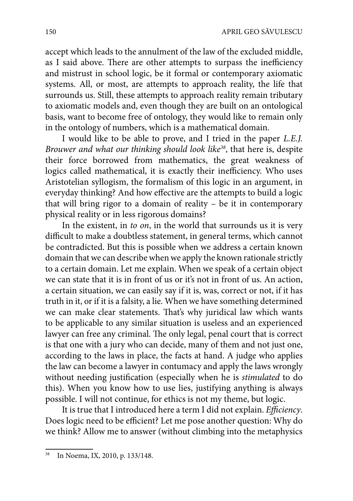accept which leads to the annulment of the law of the excluded middle, as I said above. There are other attempts to surpass the inefficiency and mistrust in school logic, be it formal or contemporary axiomatic systems. All, or most, are attempts to approach reality, the life that surrounds us. Still, these attempts to approach reality remain tributary to axiomatic models and, even though they are built on an ontological basis, want to become free of ontology, they would like to remain only in the ontology of numbers, which is a mathematical domain.

I would like to be able to prove, and I tried in the paper *L.E.J. Brouwer and what our thinking should look like38*, that here is, despite their force borrowed from mathematics, the great weakness of logics called mathematical, it is exactly their inefficiency. Who uses Aristotelian syllogism, the formalism of this logic in an argument, in everyday thinking? And how effective are the attempts to build a logic that will bring rigor to a domain of reality – be it in contemporary physical reality or in less rigorous domains?

In the existent, in *to on*, in the world that surrounds us it is very difficult to make a doubtless statement, in general terms, which cannot be contradicted. But this is possible when we address a certain known domain that we can describe when we apply the known rationale strictly to a certain domain. Let me explain. When we speak of a certain object we can state that it is in front of us or it's not in front of us. An action, a certain situation, we can easily say if it is, was, correct or not, if it has truth in it, or if it is a falsity, a lie. When we have something determined we can make clear statements. That's why juridical law which wants to be applicable to any similar situation is useless and an experienced lawyer can free any criminal. The only legal, penal court that is correct is that one with a jury who can decide, many of them and not just one, according to the laws in place, the facts at hand. A judge who applies the law can become a lawyer in contumacy and apply the laws wrongly without needing justification (especially when he is *stimulated* to do this). When you know how to use lies, justifying anything is always possible. I will not continue, for ethics is not my theme, but logic.

It is true that I introduced here a term I did not explain. *Efficiency*. Does logic need to be efficient? Let me pose another question: Why do we think? Allow me to answer (without climbing into the metaphysics

<sup>38</sup> In Noema, IX, 2010, p. 133/148.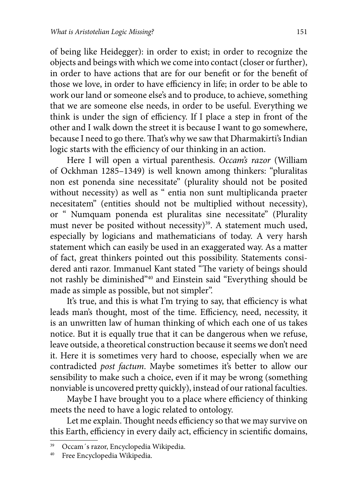of being like Heidegger): in order to exist; in order to recognize the objects and beings with which we come into contact (closer or further), in order to have actions that are for our benefit or for the benefit of those we love, in order to have efficiency in life; in order to be able to work our land or someone else's and to produce, to achieve, something that we are someone else needs, in order to be useful. Everything we think is under the sign of efficiency. If I place a step in front of the other and I walk down the street it is because I want to go somewhere, because I need to go there. That's why we saw that Dharmakirti's Indian logic starts with the efficiency of our thinking in an action.

Here I will open a virtual parenthesis. *Occam's razor* (William of Ockhman 1285–1349) is well known among thinkers: "pluralitas non est ponenda sine necessitate" (plurality should not be posited without necessity) as well as " entia non sunt multiplicanda praeter necesitatem" (entities should not be multiplied without necessity), or " Numquam ponenda est pluralitas sine necessitate" (Plurality must never be posited without necessity)<sup>39</sup>. A statement much used, especially by logicians and mathematicians of today. A very harsh statement which can easily be used in an exaggerated way. As a matter of fact, great thinkers pointed out this possibility. Statements considered anti razor. Immanuel Kant stated "The variety of beings should not rashly be diminished"40 and Einstein said "Everything should be made as simple as possible, but not simpler".

It's true, and this is what I'm trying to say, that efficiency is what leads man's thought, most of the time. Efficiency, need, necessity, it is an unwritten law of human thinking of which each one of us takes notice. But it is equally true that it can be dangerous when we refuse, leave outside, a theoretical construction because it seems we don't need it. Here it is sometimes very hard to choose, especially when we are contradicted *post factum*. Maybe sometimes it's better to allow our sensibility to make such a choice, even if it may be wrong (something nonviable is uncovered pretty quickly), instead of our rational faculties.

Maybe I have brought you to a place where efficiency of thinking meets the need to have a logic related to ontology.

Let me explain. Thought needs efficiency so that we may survive on this Earth, efficiency in every daily act, efficiency in scientific domains,

<sup>&</sup>lt;sup>39</sup> Occam´s razor, Encyclopedia Wikipedia.<br><sup>40</sup> Ereo Encyclopedia Wikipedia.

Free Encyclopedia Wikipedia.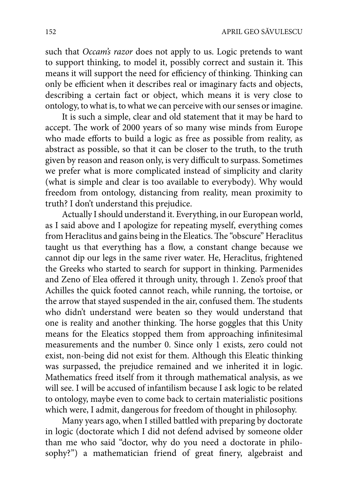such that *Occam's razor* does not apply to us. Logic pretends to want to support thinking, to model it, possibly correct and sustain it. This means it will support the need for efficiency of thinking. Thinking can only be efficient when it describes real or imaginary facts and objects, describing a certain fact or object, which means it is very close to ontology, to what is, to what we can perceive with our senses or imagine.

It is such a simple, clear and old statement that it may be hard to accept. The work of 2000 years of so many wise minds from Europe who made efforts to build a logic as free as possible from reality, as abstract as possible, so that it can be closer to the truth, to the truth given by reason and reason only, is very difficult to surpass. Sometimes we prefer what is more complicated instead of simplicity and clarity (what is simple and clear is too available to everybody). Why would freedom from ontology, distancing from reality, mean proximity to truth? I don't understand this prejudice.

Actually I should understand it. Everything, in our European world, as I said above and I apologize for repeating myself, everything comes from Heraclitus and gains being in the Eleatics. The "obscure" Heraclitus taught us that everything has a flow, a constant change because we cannot dip our legs in the same river water. He, Heraclitus, frightened the Greeks who started to search for support in thinking. Parmenides and Zeno of Elea offered it through unity, through 1. Zeno's proof that Achilles the quick footed cannot reach, while running, the tortoise, or the arrow that stayed suspended in the air, confused them. The students who didn't understand were beaten so they would understand that one is reality and another thinking. The horse goggles that this Unity means for the Eleatics stopped them from approaching infinitesimal measurements and the number 0. Since only 1 exists, zero could not exist, non-being did not exist for them. Although this Eleatic thinking was surpassed, the prejudice remained and we inherited it in logic. Mathematics freed itself from it through mathematical analysis, as we will see. I will be accused of infantilism because I ask logic to be related to ontology, maybe even to come back to certain materialistic positions which were, I admit, dangerous for freedom of thought in philosophy.

Many years ago, when I stilled battled with preparing by doctorate in logic (doctorate which I did not defend advised by someone older than me who said "doctor, why do you need a doctorate in philosophy?") a mathematician friend of great finery, algebraist and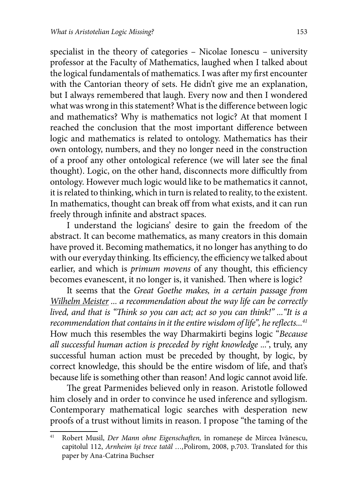specialist in the theory of categories – Nicolae Ionescu – university professor at the Faculty of Mathematics, laughed when I talked about the logical fundamentals of mathematics. I was after my first encounter with the Cantorian theory of sets. He didn't give me an explanation, but I always remembered that laugh. Every now and then I wondered what was wrong in this statement? What is the difference between logic and mathematics? Why is mathematics not logic? At that moment I reached the conclusion that the most important difference between logic and mathematics is related to ontology. Mathematics has their own ontology, numbers, and they no longer need in the construction of a proof any other ontological reference (we will later see the final thought). Logic, on the other hand, disconnects more difficultly from ontology. However much logic would like to be mathematics it cannot, it is related to thinking, which in turn is related to reality, to the existent. In mathematics, thought can break off from what exists, and it can run freely through infinite and abstract spaces.

I understand the logicians' desire to gain the freedom of the abstract. It can become mathematics, as many creators in this domain have proved it. Becoming mathematics, it no longer has anything to do with our everyday thinking. Its efficiency, the efficiency we talked about earlier, and which is *primum movens* of any thought, this efficiency becomes evanescent, it no longer is, it vanished. Then where is logic?

It seems that the *Great Goethe makes, in a certain passage from Wilhelm Meister ... a recommendation about the way life can be correctly lived, and that is "Think so you can act; act so you can think!" ... "It is a recommendation that contains in it the entire wisdom of life", he reflects...<sup>41</sup>* How much this resembles the way Dharmakirti begins logic "*Because all successful human action is preceded by right knowledge ..."*, truly, any successful human action must be preceded by thought, by logic, by correct knowledge, this should be the entire wisdom of life, and that's because life is something other than reason! And logic cannot avoid life.

The great Parmenides believed only in reason. Aristotle followed him closely and in order to convince he used inference and syllogism. Contemporary mathematical logic searches with desperation new proofs of a trust without limits in reason. I propose "the taming of the

<sup>&</sup>lt;sup>41</sup> Robert Musil, *Der Mann ohne Eigenschaften*, în romaneșe de Mircea Ivănescu, capitolul 112, *Arnheim îşi trece tatăl …,*Polirom, 2008, p.703. Translated for this paper by Ana-Catrina Buchser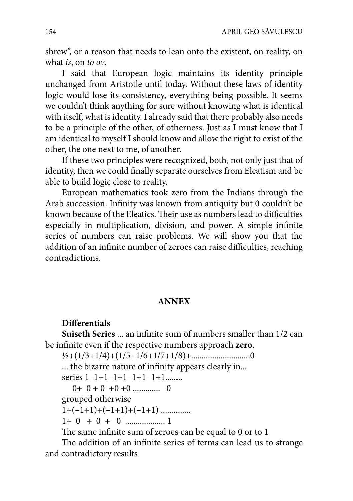shrew", or a reason that needs to lean onto the existent, on reality, on what *is*, on *to ov*.

I said that European logic maintains its identity principle unchanged from Aristotle until today. Without these laws of identity logic would lose its consistency, everything being possible. It seems we couldn't think anything for sure without knowing what is identical with itself, what is identity. I already said that there probably also needs to be a principle of the other, of otherness. Just as I must know that I am identical to myself I should know and allow the right to exist of the other, the one next to me, of another.

If these two principles were recognized, both, not only just that of identity, then we could finally separate ourselves from Eleatism and be able to build logic close to reality.

European mathematics took zero from the Indians through the Arab succession. Infinity was known from antiquity but 0 couldn't be known because of the Eleatics. Their use as numbers lead to difficulties especially in multiplication, division, and power. A simple infinite series of numbers can raise problems. We will show you that the addition of an infinite number of zeroes can raise difficulties, reaching contradictions.

#### **ANNEX**

#### **Differentials**

**Suiseth Series** ... an infinite sum of numbers smaller than 1/2 can be infinite even if the respective numbers approach **zero**.

½+(1/3+1/4)+(1/5+1/6+1/7+1/8)+............................0

... the bizarre nature of infinity appears clearly in...

series 1–1+1–1+1–1+1–1+1........

0+ 0 + 0 +0 +0 ............. 0

grouped otherwise

 $1+(-1+1)+(-1+1)+(-1+1)$  ...............

1+ 0 + 0 + 0 ................... 1

The same infinite sum of zeroes can be equal to 0 or to 1

The addition of an infinite series of terms can lead us to strange and contradictory results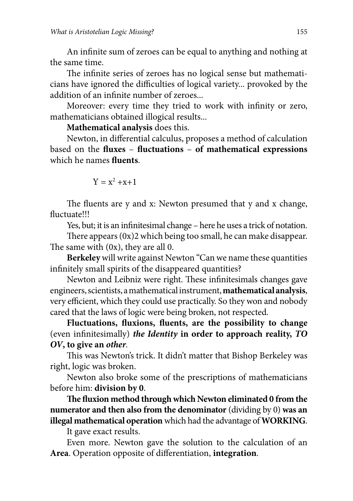An infinite sum of zeroes can be equal to anything and nothing at the same time.

The infinite series of zeroes has no logical sense but mathematicians have ignored the difficulties of logical variety... provoked by the addition of an infinite number of zeroes

Moreover: every time they tried to work with infinity or zero, mathematicians obtained illogical results...

## **Mathematical analysis** does this.

Newton, in differential calculus, proposes a method of calculation based on the **fluxes** - **fluctuations** - of mathematical expressions which he names **fluents**.

$$
Y = x^2 + x + 1
$$

The fluents are y and x: Newton presumed that y and x change, fluctuate!!!

Yes, but; it is an infinitesimal change – here he uses a trick of notation.

There appears  $(0x)$ 2 which being too small, he can make disappear. The same with  $(0x)$ , they are all 0.

**Berkeley** will write against Newton "Can we name these quantities infinitely small spirits of the disappeared quantities?

Newton and Leibniz were right. These infinitesimals changes gave engineers, scientists, a mathematical instrument, **mathematical analysis**, very efficient, which they could use practically. So they won and nobody cared that the laws of logic were being broken, not respected.

Fluctuations, fluxions, fluents, are the possibility to change (even infinitesimally) *the Identity* in order to approach reality, TO *OV***, to give an** *other.*

This was Newton's trick. It didn't matter that Bishop Berkeley was right, logic was broken.

Newton also broke some of the prescriptions of mathematicians before him: **division by 0**.

The fluxion method through which Newton eliminated 0 from the **numerator and then also from the denominator** (dividing by 0) **was an illegal mathematical operation** which had the advantage of **WORKING**.

It gave exact results.

Even more. Newton gave the solution to the calculation of an Area. Operation opposite of differentiation, integration.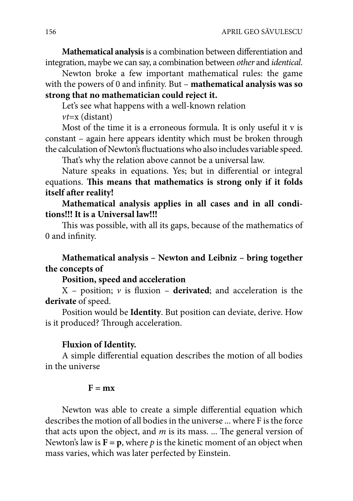**Mathematical analysis** is a combination between differentiation and integration, maybe we can say, a combination between *other* and *identical*.

Newton broke a few important mathematical rules: the game with the powers of 0 and infinity. But – **mathematical analysis was so strong that no mathematician could reject it.**

Let's see what happens with a well-known relation

*vt*=x (distant)

Most of the time it is a erroneous formula. It is only useful it v is constant – again here appears identity which must be broken through the calculation of Newton's fluctuations who also includes variable speed.

That's why the relation above cannot be a universal law.

Nature speaks in equations. Yes; but in differential or integral equations. This means that mathematics is strong only if it folds itself after reality!

**Mathematical analysis applies in all cases and in all conditions!!! It is a Universal law!!!**

This was possible, with all its gaps, because of the mathematics of 0 and infinity.

# **Mathematical analysis – Newton and Leibniz – bring together the concepts of**

## **Position, speed and acceleration**

 $X$  – position;  $\nu$  is fluxion – **derivated**; and acceleration is the **derivate** of speed.

Position would be **Identity**. But position can deviate, derive. How is it produced? Through acceleration.

#### **Fluxion of Identity.**

A simple differential equation describes the motion of all bodies in the universe

#### $F = mx$

Newton was able to create a simple differential equation which describes the motion of all bodies in the universe ... where F is the force that acts upon the object, and  $m$  is its mass. ... The general version of Newton's law is  $\mathbf{F} = \mathbf{p}$ , where *p* is the kinetic moment of an object when mass varies, which was later perfected by Einstein.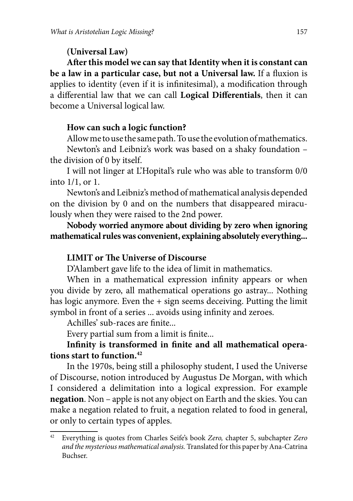# **(Universal Law)**

After this model we can say that Identity when it is constant can **be a law in a particular case, but not a Universal law.** If a fluxion is applies to identity (even if it is infinitesimal), a modification through a differential law that we can call **Logical Differentials**, then it can become a Universal logical law.

## **How can such a logic function?**

Allow me to use the same path. To use the evolution of mathematics.

Newton's and Leibniz's work was based on a shaky foundation – the division of 0 by itself.

I will not linger at L'Hopital's rule who was able to transform 0/0 into 1/1, or 1.

Newton's and Leibniz's method of mathematical analysis depended on the division by 0 and on the numbers that disappeared miraculously when they were raised to the 2nd power.

**Nobody worried anymore about dividing by zero when ignoring mathematical rules was convenient, explaining absolutely everything...**

# **LIMIT or The Universe of Discourse**

D'Alambert gave life to the idea of limit in mathematics.

When in a mathematical expression infinity appears or when you divide by zero, all mathematical operations go astray... Nothing has logic anymore. Even the + sign seems deceiving. Putting the limit symbol in front of a series ... avoids using infinity and zeroes.

Achilles' sub-races are finite...

Every partial sum from a limit is finite...

# Infinity is transformed in finite and all mathematical opera**tions start to function.42**

In the 1970s, being still a philosophy student, I used the Universe of Discourse, notion introduced by Augustus De Morgan, with which I considered a delimitation into a logical expression. For example **negation**. Non – apple is not any object on Earth and the skies. You can make a negation related to fruit, a negation related to food in general, or only to certain types of apples.

<sup>42</sup> Everything is quotes from Charles Seife's book *Zero,* chapter 5, subchapter *Zero and the mysterious mathematical analysis.* Translated for this paper by Ana-Catrina Buchser.